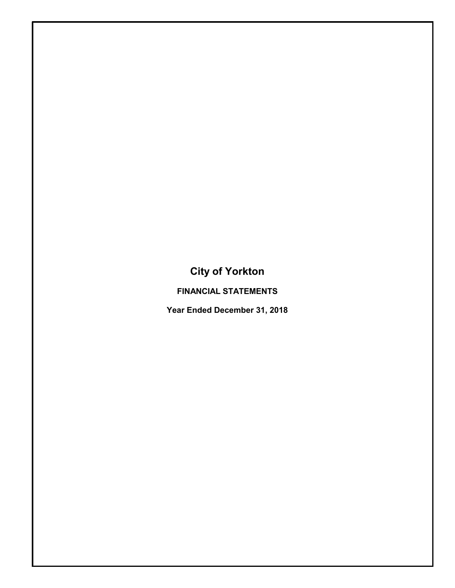# **City of Yorkton**

**FINANCIAL STATEMENTS**

**Year Ended December 31, 2018**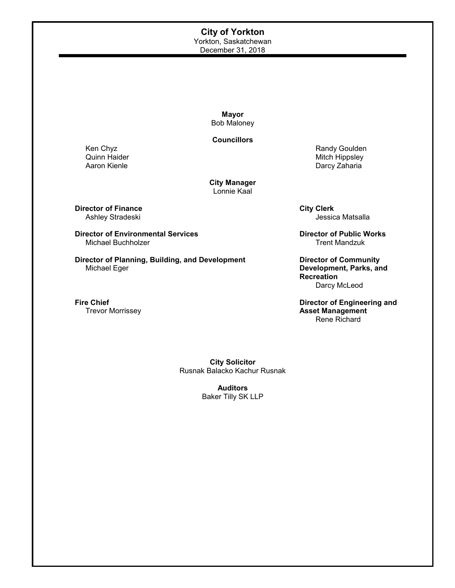# **City of Yorkton** Yorkton, Saskatchewan December 31, 2018 **Mayor** Bob Maloney **Councillors** Ken Chyz **Randy Goulden** ية المسابقة المسابقة المسابقة المسابقة المسابقة المسابقة المسابقة المسابقة المسابقة المسابقة المسابقة المسابقة<br>19 Aaron Kienle Darcy Zaharia **City Manager** Lonnie Kaal **Director of Finance**<br> **City Clerk**<br> **City Clerk**<br> **City Clerk**<br> **City Clerk**<br> **City Clerk** Ashley Stradeski **Director of Environmental Services**<br>Michael Buchholzer **Director of Public Works**<br>Trent Mandzuk Michael Buchholzer

**Director of Planning, Building, and Development Director of Community Michael Eger Development, Parks, and** 

**Recreation** Darcy McLeod

**Fire Chief Director of Engineering and Trevor Morrissey <b>Director Server Chief Director of Engineering and Trevor Morrissey Asset Management** Rene Richard

> **City Solicitor** Rusnak Balacko Kachur Rusnak

> > **Auditors** Baker Tilly SK LLP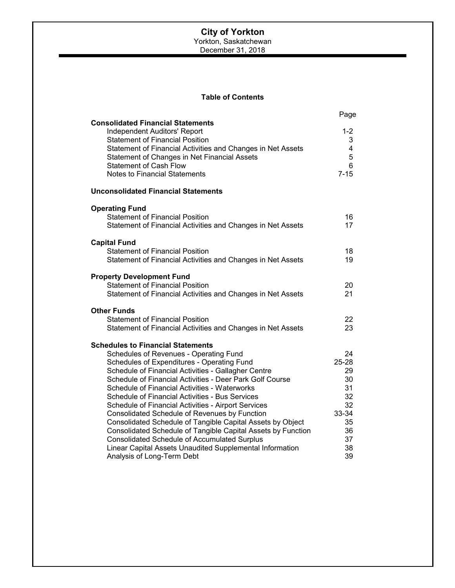Yorkton, Saskatchewan

December 31, 2018

#### **Table of Contents**

| <b>Consolidated Financial Statements</b>                                                                                                                                                                                                                                                                                                                                                                                                                                                                                                                                                                                                                                                           | Page                                                                                 |
|----------------------------------------------------------------------------------------------------------------------------------------------------------------------------------------------------------------------------------------------------------------------------------------------------------------------------------------------------------------------------------------------------------------------------------------------------------------------------------------------------------------------------------------------------------------------------------------------------------------------------------------------------------------------------------------------------|--------------------------------------------------------------------------------------|
| <b>Independent Auditors' Report</b><br><b>Statement of Financial Position</b><br>Statement of Financial Activities and Changes in Net Assets<br>Statement of Changes in Net Financial Assets<br><b>Statement of Cash Flow</b><br>Notes to Financial Statements                                                                                                                                                                                                                                                                                                                                                                                                                                     | $1 - 2$<br>3<br>4<br>5<br>6<br>$7 - 15$                                              |
| <b>Unconsolidated Financial Statements</b>                                                                                                                                                                                                                                                                                                                                                                                                                                                                                                                                                                                                                                                         |                                                                                      |
| <b>Operating Fund</b><br><b>Statement of Financial Position</b><br>Statement of Financial Activities and Changes in Net Assets                                                                                                                                                                                                                                                                                                                                                                                                                                                                                                                                                                     | 16<br>17                                                                             |
| <b>Capital Fund</b><br><b>Statement of Financial Position</b><br>Statement of Financial Activities and Changes in Net Assets                                                                                                                                                                                                                                                                                                                                                                                                                                                                                                                                                                       | 18<br>19                                                                             |
| <b>Property Development Fund</b><br><b>Statement of Financial Position</b><br>Statement of Financial Activities and Changes in Net Assets                                                                                                                                                                                                                                                                                                                                                                                                                                                                                                                                                          | 20<br>21                                                                             |
| <b>Other Funds</b><br><b>Statement of Financial Position</b><br>Statement of Financial Activities and Changes in Net Assets                                                                                                                                                                                                                                                                                                                                                                                                                                                                                                                                                                        | 22<br>23                                                                             |
| <b>Schedules to Financial Statements</b>                                                                                                                                                                                                                                                                                                                                                                                                                                                                                                                                                                                                                                                           |                                                                                      |
| Schedules of Revenues - Operating Fund<br>Schedules of Expenditures - Operating Fund<br>Schedule of Financial Activities - Gallagher Centre<br>Schedule of Financial Activities - Deer Park Golf Course<br>Schedule of Financial Activities - Waterworks<br>Schedule of Financial Activities - Bus Services<br>Schedule of Financial Activities - Airport Services<br>Consolidated Schedule of Revenues by Function<br>Consolidated Schedule of Tangible Capital Assets by Object<br>Consolidated Schedule of Tangible Capital Assets by Function<br><b>Consolidated Schedule of Accumulated Surplus</b><br>Linear Capital Assets Unaudited Supplemental Information<br>Analysis of Long-Term Debt | 24<br>$25 - 28$<br>29<br>30<br>31<br>32<br>32<br>33-34<br>35<br>36<br>37<br>38<br>39 |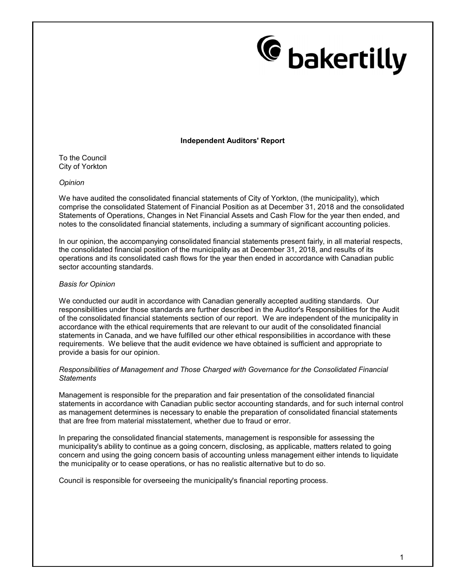

## **Independent Auditors' Report**

To the Council City of Yorkton

### *Opinion*

We have audited the consolidated financial statements of City of Yorkton, (the municipality), which comprise the consolidated Statement of Financial Position as at December 31, 2018 and the consolidated Statements of Operations, Changes in Net Financial Assets and Cash Flow for the year then ended, and notes to the consolidated financial statements, including a summary of significant accounting policies.

In our opinion, the accompanying consolidated financial statements present fairly, in all material respects, the consolidated financial position of the municipality as at December 31, 2018, and results of its operations and its consolidated cash flows for the year then ended in accordance with Canadian public sector accounting standards.

#### *Basis for Opinion*

We conducted our audit in accordance with Canadian generally accepted auditing standards. Our responsibilities under those standards are further described in the Auditor's Responsibilities for the Audit of the consolidated financial statements section of our report. We are independent of the municipality in accordance with the ethical requirements that are relevant to our audit of the consolidated financial statements in Canada, and we have fulfilled our other ethical responsibilities in accordance with these requirements. We believe that the audit evidence we have obtained is sufficient and appropriate to provide a basis for our opinion.

#### *Responsibilities of Management and Those Charged with Governance for the Consolidated Financial Statements*

Management is responsible for the preparation and fair presentation of the consolidated financial statements in accordance with Canadian public sector accounting standards, and for such internal control as management determines is necessary to enable the preparation of consolidated financial statements that are free from material misstatement, whether due to fraud or error.

In preparing the consolidated financial statements, management is responsible for assessing the municipality's ability to continue as a going concern, disclosing, as applicable, matters related to going concern and using the going concern basis of accounting unless management either intends to liquidate the municipality or to cease operations, or has no realistic alternative but to do so.

Council is responsible for overseeing the municipality's financial reporting process.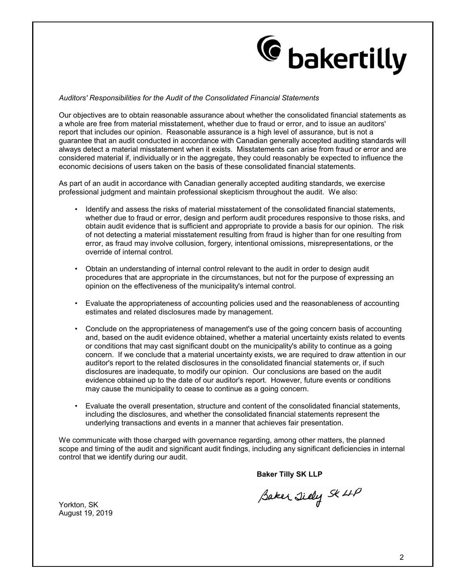

#### *Auditors' Responsibilities for the Audit of the Consolidated Financial Statements*

Our objectives are to obtain reasonable assurance about whether the consolidated financial statements as a whole are free from material misstatement, whether due to fraud or error, and to issue an auditors' report that includes our opinion. Reasonable assurance is a high level of assurance, but is not a guarantee that an audit conducted in accordance with Canadian generally accepted auditing standards will always detect a material misstatement when it exists. Misstatements can arise from fraud or error and are considered material if, individually or in the aggregate, they could reasonably be expected to influence the economic decisions of users taken on the basis of these consolidated financial statements.

As part of an audit in accordance with Canadian generally accepted auditing standards, we exercise professional judgment and maintain professional skepticism throughout the audit. We also:

- Identify and assess the risks of material misstatement of the consolidated financial statements, whether due to fraud or error, design and perform audit procedures responsive to those risks, and obtain audit evidence that is sufficient and appropriate to provide a basis for our opinion. The risk of not detecting a material misstatement resulting from fraud is higher than for one resulting from error, as fraud may involve collusion, forgery, intentional omissions, misrepresentations, or the override of internal control.
- Obtain an understanding of internal control relevant to the audit in order to design audit procedures that are appropriate in the circumstances, but not for the purpose of expressing an opinion on the effectiveness of the municipality's internal control.
- Evaluate the appropriateness of accounting policies used and the reasonableness of accounting estimates and related disclosures made by management.
- Conclude on the appropriateness of management's use of the going concern basis of accounting and, based on the audit evidence obtained, whether a material uncertainty exists related to events or conditions that may cast significant doubt on the municipality's ability to continue as a going concern. If we conclude that a material uncertainty exists, we are required to draw attention in our auditor's report to the related disclosures in the consolidated financial statements or, if such disclosures are inadequate, to modify our opinion. Our conclusions are based on the audit evidence obtained up to the date of our auditor's report. However, future events or conditions may cause the municipality to cease to continue as a going concern.
- Evaluate the overall presentation, structure and content of the consolidated financial statements, including the disclosures, and whether the consolidated financial statements represent the underlying transactions and events in a manner that achieves fair presentation.

We communicate with those charged with governance regarding, among other matters, the planned scope and timing of the audit and significant audit findings, including any significant deficiencies in internal control that we identify during our audit.

**Baker Tilly SK LLP**

Baker Jiely SKLLP

Yorkton, SK August 19, 2019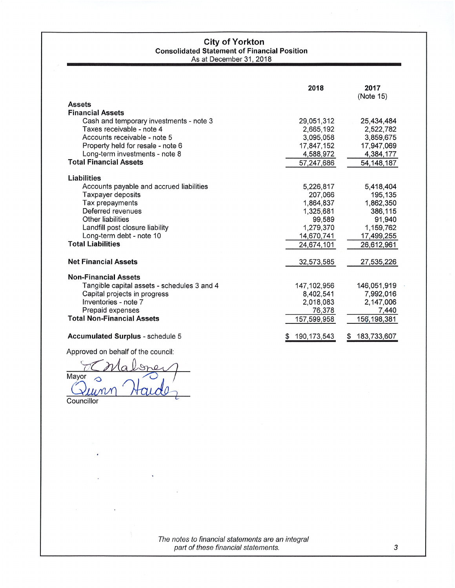# City of Yorkton<br>Consolidated Statement of Financial Position<br>As at December 31, 2018

|                                                       | 2018                | 2017<br>(Note 15) |
|-------------------------------------------------------|---------------------|-------------------|
| <b>Assets</b>                                         |                     |                   |
| <b>Financial Assets</b>                               |                     |                   |
| Cash and temporary investments - note 3               | 29,051,312          | 25,434,484        |
| Taxes receivable - note 4                             | 2,665,192           | 2,522,782         |
| Accounts receivable - note 5                          | 3,095,058           | 3,859,675         |
| Property held for resale - note 6                     | 17,847,152          | 17,947,069        |
| Long-term investments - note 8                        | 4,588,972           | 4,384,177         |
| <b>Total Financial Assets</b>                         | 57,247,686          | 54, 148, 187      |
| Liabilities                                           |                     |                   |
| Accounts payable and accrued liabilities              | 5,226,817           | 5,418,404         |
| Taxpayer deposits                                     | 207,066             | 195,135           |
| Tax prepayments                                       | 1,864,837           | 1,862,350         |
| Deferred revenues                                     | 1,325,681           | 386,115           |
| Other liabilities                                     | 99,589              | 91,940            |
| Landfill post closure liability                       | 1,279,370           | 1,159,762         |
| Long-term debt - note 10                              | 14,670,741          | 17,499,255        |
| <b>Total Liabilities</b>                              | 24,674,101          | 26,612,961        |
| <b>Net Financial Assets</b>                           | 32,573,585          | 27,535,226        |
|                                                       |                     |                   |
| <b>Non-Financial Assets</b>                           |                     |                   |
| Tangible capital assets - schedules 3 and 4           | 147, 102, 956       | 146,051,919       |
| Capital projects in progress                          | 8,402,541           | 7,992,016         |
| Inventories - note 7                                  | 2,018,083           | 2,147,006         |
| Prepaid expenses<br><b>Total Non-Financial Assets</b> | 76,378              | 7,440             |
|                                                       | 157,599,958         | 156,198,381       |
| <b>Accumulated Surplus - schedule 5</b>               | 190, 173, 543<br>\$ | 183,733,607<br>\$ |

Approved on behalf of the council:

Mayor ╱ N Councillor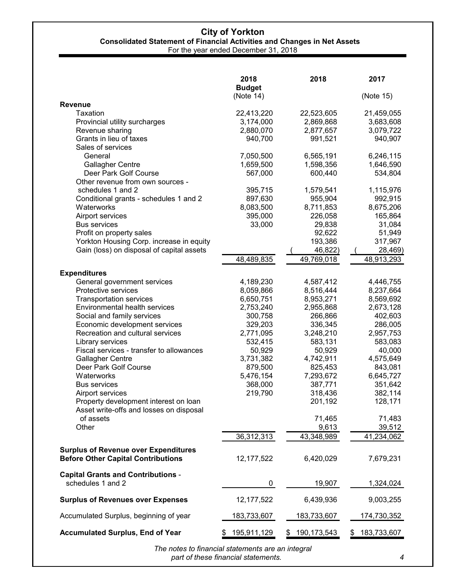## **City of Yorkton Consolidated Statement of Financial Activities and Changes in Net Assets**

|                                                                                          | 2018<br><b>Budget</b>  | 2018                   | 2017                   |
|------------------------------------------------------------------------------------------|------------------------|------------------------|------------------------|
|                                                                                          | (Note 14)              |                        | (Note 15)              |
| <b>Revenue</b>                                                                           |                        |                        |                        |
| <b>Taxation</b>                                                                          | 22,413,220             | 22,523,605             | 21,459,055             |
| Provincial utility surcharges                                                            | 3,174,000              | 2,869,868              | 3,683,608              |
| Revenue sharing                                                                          | 2,880,070              | 2,877,657              | 3,079,722              |
| Grants in lieu of taxes<br>Sales of services                                             | 940,700                | 991,521                | 940,907                |
| General                                                                                  | 7,050,500              | 6,565,191              | 6,246,115              |
| <b>Gallagher Centre</b>                                                                  | 1,659,500              | 1,598,356              | 1,646,590              |
| Deer Park Golf Course                                                                    | 567,000                | 600,440                | 534,804                |
| Other revenue from own sources -                                                         |                        |                        |                        |
| schedules 1 and 2                                                                        | 395,715                | 1,579,541              | 1,115,976              |
| Conditional grants - schedules 1 and 2                                                   | 897,630                | 955,904                | 992,915                |
| Waterworks                                                                               | 8,083,500              | 8,711,853              | 8,675,206              |
| Airport services                                                                         | 395,000                | 226,058                | 165,864                |
| <b>Bus services</b>                                                                      | 33,000                 | 29,838                 | 31,084                 |
| Profit on property sales                                                                 |                        | 92,622                 | 51,949                 |
| Yorkton Housing Corp. increase in equity                                                 |                        | 193,386                | 317,967                |
| Gain (loss) on disposal of capital assets                                                |                        | 46,822)                | 28,469)                |
|                                                                                          | 48,489,835             | 49,769,018             | 48,913,293             |
|                                                                                          |                        |                        |                        |
| <b>Expenditures</b><br>General government services                                       |                        |                        |                        |
| Protective services                                                                      | 4,189,230<br>8,059,866 | 4,587,412<br>8,516,444 | 4,446,755<br>8,237,664 |
| <b>Transportation services</b>                                                           | 6,650,751              | 8,953,271              | 8,569,692              |
| Environmental health services                                                            | 2,753,240              | 2,955,868              | 2,673,128              |
| Social and family services                                                               | 300,758                | 266,866                | 402,603                |
| Economic development services                                                            | 329,203                | 336,345                | 286,005                |
| Recreation and cultural services                                                         | 2,771,095              | 3,248,210              | 2,957,753              |
| Library services                                                                         | 532,415                | 583,131                | 583,083                |
| Fiscal services - transfer to allowances                                                 | 50,929                 | 50,929                 | 40,000                 |
| Gallagher Centre                                                                         | 3,731,382              | 4,742,911              | 4,575,649              |
| Deer Park Golf Course                                                                    | 879,500                | 825,453                | 843,081                |
| Waterworks                                                                               | 5,476,154              | 7,293,672              | 6,645,727              |
| <b>Bus services</b>                                                                      | 368,000                | 387,771                | 351,642                |
| Airport services                                                                         | 219,790                | 318,436                | 382,114                |
| Property development interest on loan<br>Asset write-offs and losses on disposal         |                        | 201,192                | 128,171                |
| of assets                                                                                |                        | 71,465                 | 71,483                 |
| Other                                                                                    |                        | 9,613                  | 39,512                 |
|                                                                                          | 36,312,313             | 43,348,989             | 41,234,062             |
| <b>Surplus of Revenue over Expenditures</b><br><b>Before Other Capital Contributions</b> | 12, 177, 522           | 6,420,029              | 7,679,231              |
|                                                                                          |                        |                        |                        |
| <b>Capital Grants and Contributions -</b><br>schedules 1 and 2                           | 0                      | 19,907                 | 1,324,024              |
| <b>Surplus of Revenues over Expenses</b>                                                 | 12, 177, 522           | 6,439,936              | 9,003,255              |
| Accumulated Surplus, beginning of year                                                   | 183,733,607            | 183,733,607            | 174,730,352            |
| <b>Accumulated Surplus, End of Year</b>                                                  | 195,911,129<br>S.      | 190, 173, 543          | 183,733,607<br>\$      |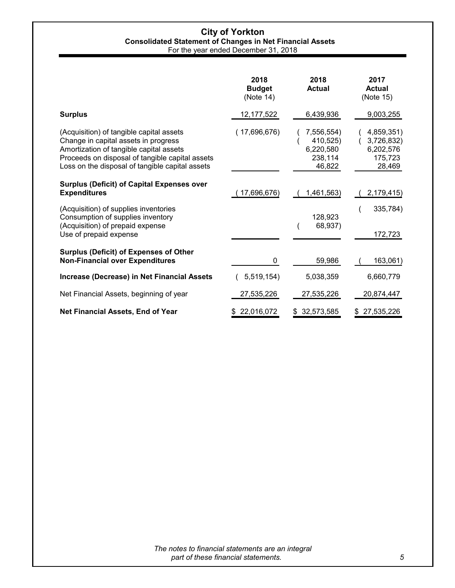#### **City of Yorkton Consolidated Statement of Changes in Net Financial Assets** For the year ended December 31, 2018

|                                                                                                                                                                                                                                   | 2018<br><b>Budget</b><br>(Note 14) | 2018<br><b>Actual</b>                                    | 2017<br><b>Actual</b><br>(Note 15)                         |
|-----------------------------------------------------------------------------------------------------------------------------------------------------------------------------------------------------------------------------------|------------------------------------|----------------------------------------------------------|------------------------------------------------------------|
| <b>Surplus</b>                                                                                                                                                                                                                    | 12, 177, 522                       | 6,439,936                                                | 9,003,255                                                  |
| (Acquisition) of tangible capital assets<br>Change in capital assets in progress<br>Amortization of tangible capital assets<br>Proceeds on disposal of tangible capital assets<br>Loss on the disposal of tangible capital assets | (17,696,676)                       | 7,556,554)<br>410,525)<br>6,220,580<br>238,114<br>46,822 | 4,859,351)<br>3,726,832)<br>6,202,576<br>175,723<br>28,469 |
| <b>Surplus (Deficit) of Capital Expenses over</b><br><b>Expenditures</b>                                                                                                                                                          | 17,696,676)                        | 1,461,563)                                               | 2,179,415)                                                 |
| (Acquisition) of supplies inventories<br>Consumption of supplies inventory<br>(Acquisition) of prepaid expense<br>Use of prepaid expense                                                                                          |                                    | 128,923<br>68,937)                                       | 335,784)<br>172,723                                        |
| <b>Surplus (Deficit) of Expenses of Other</b><br><b>Non-Financial over Expenditures</b>                                                                                                                                           | 0                                  | 59,986                                                   | 163,061)                                                   |
| Increase (Decrease) in Net Financial Assets                                                                                                                                                                                       | 5,519,154)                         | 5,038,359                                                | 6,660,779                                                  |
| Net Financial Assets, beginning of year                                                                                                                                                                                           | 27,535,226                         | 27,535,226                                               | 20,874,447                                                 |
| <b>Net Financial Assets, End of Year</b>                                                                                                                                                                                          | 22,016,072<br>S                    | 32,573,585<br>\$                                         | \$27,535,226                                               |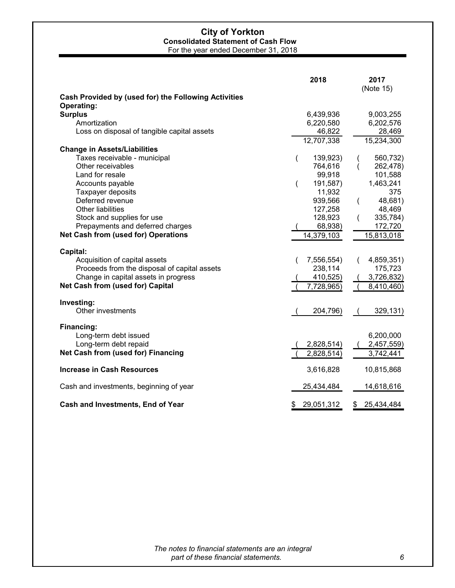#### **City of Yorkton Consolidated Statement of Cash Flow**

For the year ended December 31, 2018

|                                                      | 2018                       | 2017<br>(Note 15) |
|------------------------------------------------------|----------------------------|-------------------|
| Cash Provided by (used for) the Following Activities |                            |                   |
| Operating:                                           |                            |                   |
| <b>Surplus</b>                                       | 6,439,936                  | 9,003,255         |
| Amortization                                         | 6,220,580                  | 6,202,576         |
| Loss on disposal of tangible capital assets          | 46,822                     | 28,469            |
|                                                      | 12,707,338                 | 15,234,300        |
| <b>Change in Assets/Liabilities</b>                  |                            |                   |
| Taxes receivable - municipal                         | 139,923)                   | 560,732)          |
| Other receivables                                    | 764,616                    | 262,478)          |
| Land for resale                                      | 99,918                     | 101,588           |
| Accounts payable                                     | 191,587)<br>$\overline{(}$ | 1,463,241         |
| Taxpayer deposits                                    | 11,932                     | 375               |
| Deferred revenue                                     | 939,566                    | 48,681)<br>(      |
| <b>Other liabilities</b>                             | 127,258                    | 48,469            |
| Stock and supplies for use                           | 128,923                    | 335,784)          |
| Prepayments and deferred charges                     | 68,938)                    | 172,720           |
| <b>Net Cash from (used for) Operations</b>           | 14,379,103                 | 15,813,018        |
| Capital:                                             |                            |                   |
| Acquisition of capital assets                        | 7,556,554)                 | 4,859,351)        |
| Proceeds from the disposal of capital assets         | 238,114                    | 175,723           |
| Change in capital assets in progress                 | 410,525)                   | 3,726,832)        |
| Net Cash from (used for) Capital                     | 7,728,965)                 | 8,410,460)        |
|                                                      |                            |                   |
| Investing:                                           |                            |                   |
| Other investments                                    | 204,796)                   | 329,131)          |
|                                                      |                            |                   |
| Financing:                                           |                            |                   |
| Long-term debt issued                                |                            | 6,200,000         |
| Long-term debt repaid                                | 2,828,514)                 | 2,457,559)        |
| Net Cash from (used for) Financing                   | 2,828,514)                 | 3,742,441         |
| <b>Increase in Cash Resources</b>                    | 3,616,828                  | 10,815,868        |
| Cash and investments, beginning of year              | 25,434,484                 | 14,618,616        |
| Cash and Investments, End of Year                    | 29,051,312<br>\$           | 25,434,484<br>\$  |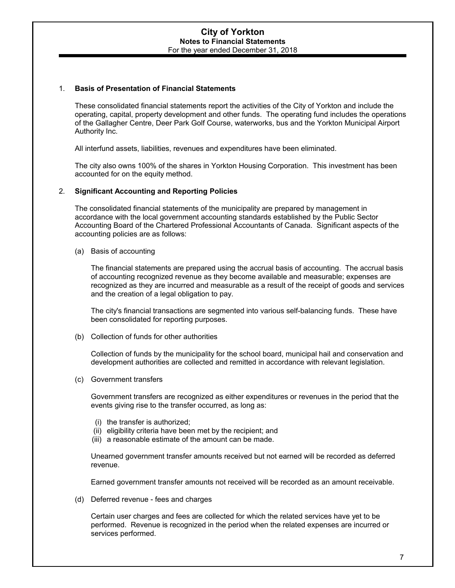#### 1. **Basis of Presentation of Financial Statements**

These consolidated financial statements report the activities of the City of Yorkton and include the operating, capital, property development and other funds. The operating fund includes the operations of the Gallagher Centre, Deer Park Golf Course, waterworks, bus and the Yorkton Municipal Airport Authority Inc.

All interfund assets, liabilities, revenues and expenditures have been eliminated.

The city also owns 100% of the shares in Yorkton Housing Corporation. This investment has been accounted for on the equity method.

#### 2. **Significant Accounting and Reporting Policies**

The consolidated financial statements of the municipality are prepared by management in accordance with the local government accounting standards established by the Public Sector Accounting Board of the Chartered Professional Accountants of Canada. Significant aspects of the accounting policies are as follows:

(a) Basis of accounting

The financial statements are prepared using the accrual basis of accounting. The accrual basis of accounting recognized revenue as they become available and measurable; expenses are recognized as they are incurred and measurable as a result of the receipt of goods and services and the creation of a legal obligation to pay.

The city's financial transactions are segmented into various self-balancing funds. These have been consolidated for reporting purposes.

(b) Collection of funds for other authorities

Collection of funds by the municipality for the school board, municipal hail and conservation and development authorities are collected and remitted in accordance with relevant legislation.

(c) Government transfers

Government transfers are recognized as either expenditures or revenues in the period that the events giving rise to the transfer occurred, as long as:

- (i) the transfer is authorized;
- (ii) eligibility criteria have been met by the recipient; and
- (iii) a reasonable estimate of the amount can be made.

Unearned government transfer amounts received but not earned will be recorded as deferred revenue.

Earned government transfer amounts not received will be recorded as an amount receivable.

(d) Deferred revenue - fees and charges

Certain user charges and fees are collected for which the related services have yet to be performed. Revenue is recognized in the period when the related expenses are incurred or services performed.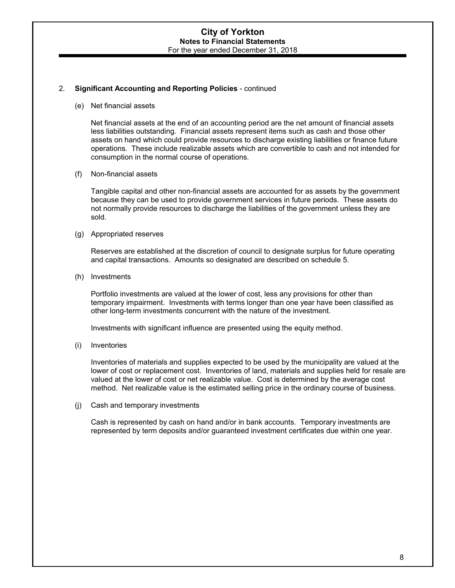#### 2. **Significant Accounting and Reporting Policies** - continued

(e) Net financial assets

Net financial assets at the end of an accounting period are the net amount of financial assets less liabilities outstanding. Financial assets represent items such as cash and those other assets on hand which could provide resources to discharge existing liabilities or finance future operations. These include realizable assets which are convertible to cash and not intended for consumption in the normal course of operations.

(f) Non-financial assets

Tangible capital and other non-financial assets are accounted for as assets by the government because they can be used to provide government services in future periods. These assets do not normally provide resources to discharge the liabilities of the government unless they are sold.

(g) Appropriated reserves

Reserves are established at the discretion of council to designate surplus for future operating and capital transactions. Amounts so designated are described on schedule 5.

(h) Investments

Portfolio investments are valued at the lower of cost, less any provisions for other than temporary impairment. Investments with terms longer than one year have been classified as other long-term investments concurrent with the nature of the investment.

Investments with significant influence are presented using the equity method.

(i) Inventories

Inventories of materials and supplies expected to be used by the municipality are valued at the lower of cost or replacement cost. Inventories of land, materials and supplies held for resale are valued at the lower of cost or net realizable value. Cost is determined by the average cost method. Net realizable value is the estimated selling price in the ordinary course of business.

(j) Cash and temporary investments

Cash is represented by cash on hand and/or in bank accounts. Temporary investments are represented by term deposits and/or guaranteed investment certificates due within one year.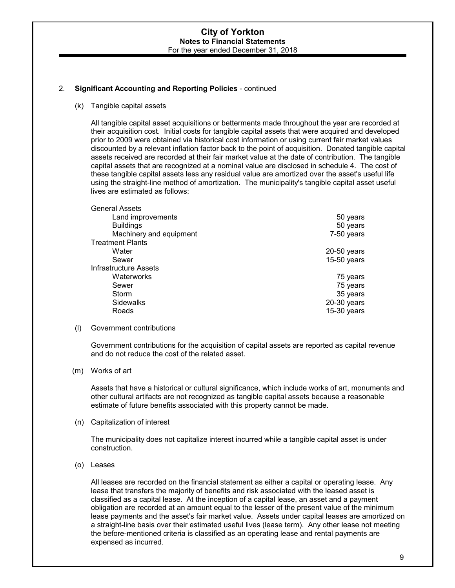#### 2. **Significant Accounting and Reporting Policies** - continued

#### (k) Tangible capital assets

All tangible capital asset acquisitions or betterments made throughout the year are recorded at their acquisition cost. Initial costs for tangible capital assets that were acquired and developed prior to 2009 were obtained via historical cost information or using current fair market values discounted by a relevant inflation factor back to the point of acquisition. Donated tangible capital assets received are recorded at their fair market value at the date of contribution. The tangible capital assets that are recognized at a nominal value are disclosed in schedule 4. The cost of these tangible capital assets less any residual value are amortized over the asset's useful life using the straight-line method of amortization. The municipality's tangible capital asset useful lives are estimated as follows:

| <b>General Assets</b>   |               |
|-------------------------|---------------|
| Land improvements       | 50 years      |
| <b>Buildings</b>        | 50 years      |
| Machinery and equipment | 7-50 years    |
| Treatment Plants        |               |
| Water                   | 20-50 years   |
| Sewer                   | $15-50$ years |
| Infrastructure Assets   |               |
| <b>Waterworks</b>       | 75 years      |
| Sewer                   | 75 years      |
| Storm                   | 35 years      |
| Sidewalks               | $20-30$ years |
| Roads                   | $15-30$ years |

#### (l) Government contributions

Government contributions for the acquisition of capital assets are reported as capital revenue and do not reduce the cost of the related asset.

#### (m) Works of art

Assets that have a historical or cultural significance, which include works of art, monuments and other cultural artifacts are not recognized as tangible capital assets because a reasonable estimate of future benefits associated with this property cannot be made.

(n) Capitalization of interest

The municipality does not capitalize interest incurred while a tangible capital asset is under construction.

(o) Leases

All leases are recorded on the financial statement as either a capital or operating lease. Any lease that transfers the majority of benefits and risk associated with the leased asset is classified as a capital lease. At the inception of a capital lease, an asset and a payment obligation are recorded at an amount equal to the lesser of the present value of the minimum lease payments and the asset's fair market value. Assets under capital leases are amortized on a straight-line basis over their estimated useful lives (lease term). Any other lease not meeting the before-mentioned criteria is classified as an operating lease and rental payments are expensed as incurred.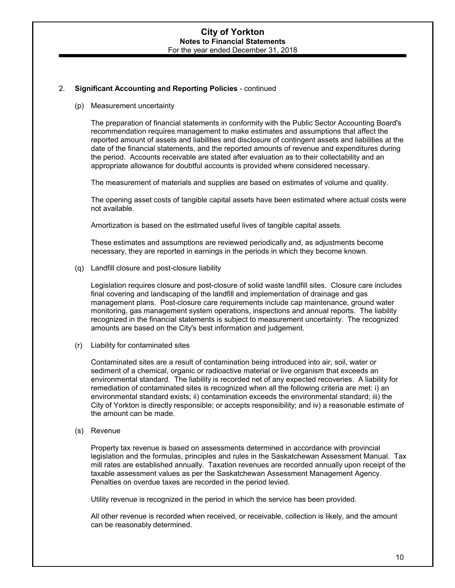#### 2. **Significant Accounting and Reporting Policies** - continued

#### (p) Measurement uncertainty

The preparation of financial statements in conformity with the Public Sector Accounting Board's recommendation requires management to make estimates and assumptions that affect the reported amount of assets and liabilities and disclosure of contingent assets and liabilities at the date of the financial statements, and the reported amounts of revenue and expenditures during the period. Accounts receivable are stated after evaluation as to their collectability and an appropriate allowance for doubtful accounts is provided where considered necessary.

The measurement of materials and supplies are based on estimates of volume and quality.

The opening asset costs of tangible capital assets have been estimated where actual costs were not available.

Amortization is based on the estimated useful lives of tangible capital assets.

These estimates and assumptions are reviewed periodically and, as adjustments become necessary, they are reported in earnings in the periods in which they become known.

(q) Landfill closure and post-closure liability

Legislation requires closure and post-closure of solid waste landfill sites. Closure care includes final covering and landscaping of the landfill and implementation of drainage and gas management plans. Post-closure care requirements include cap maintenance, ground water monitoring, gas management system operations, inspections and annual reports. The liability recognized in the financial statements is subject to measurement uncertainty. The recognized amounts are based on the City's best information and judgement.

(r) Liability for contaminated sites

Contaminated sites are a result of contamination being introduced into air, soil, water or sediment of a chemical, organic or radioactive material or live organism that exceeds an environmental standard. The liability is recorded net of any expected recoveries. A liability for remediation of contaminated sites is recognized when all the following criteria are met: i) an environmental standard exists; ii) contamination exceeds the environmental standard; iii) the City of Yorkton is directly responsible; or accepts responsibility; and iv) a reasonable estimate of the amount can be made.

(s) Revenue

Property tax revenue is based on assessments determined in accordance with provincial legislation and the formulas, principles and rules in the Saskatchewan Assessment Manual. Tax mill rates are established annually. Taxation revenues are recorded annually upon receipt of the taxable assessment values as per the Saskatchewan Assessment Management Agency. Penalties on overdue taxes are recorded in the period levied.

Utility revenue is recognized in the period in which the service has been provided.

All other revenue is recorded when received, or receivable, collection is likely, and the amount can be reasonably determined.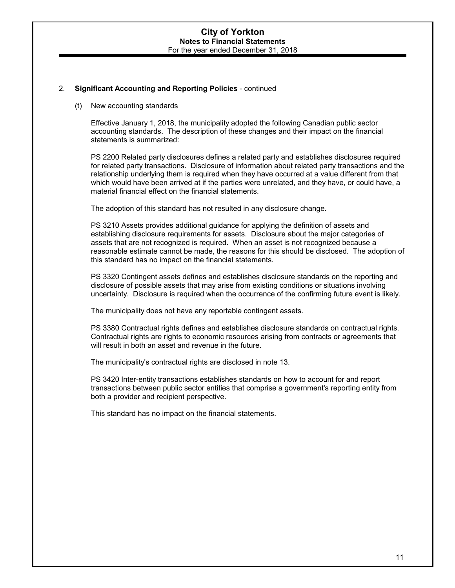#### 2. **Significant Accounting and Reporting Policies** - continued

#### (t) New accounting standards

Effective January 1, 2018, the municipality adopted the following Canadian public sector accounting standards. The description of these changes and their impact on the financial statements is summarized:

PS 2200 Related party disclosures defines a related party and establishes disclosures required for related party transactions. Disclosure of information about related party transactions and the relationship underlying them is required when they have occurred at a value different from that which would have been arrived at if the parties were unrelated, and they have, or could have, a material financial effect on the financial statements.

The adoption of this standard has not resulted in any disclosure change.

PS 3210 Assets provides additional guidance for applying the definition of assets and establishing disclosure requirements for assets. Disclosure about the major categories of assets that are not recognized is required. When an asset is not recognized because a reasonable estimate cannot be made, the reasons for this should be disclosed. The adoption of this standard has no impact on the financial statements.

PS 3320 Contingent assets defines and establishes disclosure standards on the reporting and disclosure of possible assets that may arise from existing conditions or situations involving uncertainty. Disclosure is required when the occurrence of the confirming future event is likely.

The municipality does not have any reportable contingent assets.

PS 3380 Contractual rights defines and establishes disclosure standards on contractual rights. Contractual rights are rights to economic resources arising from contracts or agreements that will result in both an asset and revenue in the future.

The municipality's contractual rights are disclosed in note 13.

PS 3420 Inter-entity transactions establishes standards on how to account for and report transactions between public sector entities that comprise a government's reporting entity from both a provider and recipient perspective.

This standard has no impact on the financial statements.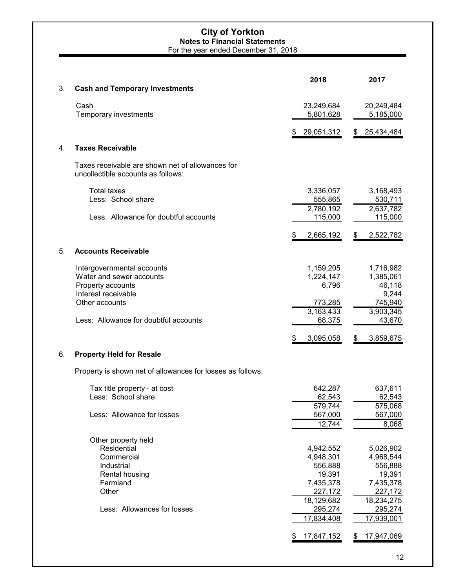#### **City of Yorkton Notes to Financial Statements**

For the year ended December 31, 2018

|    |                                                                                        | 2018                    | 2017                    |
|----|----------------------------------------------------------------------------------------|-------------------------|-------------------------|
| 3. | <b>Cash and Temporary Investments</b>                                                  |                         |                         |
|    | Cash<br>Temporary investments                                                          | 23,249,684<br>5,801,628 | 20,249,484<br>5,185,000 |
|    |                                                                                        | 29,051,312              | 25,434,484<br>\$        |
| 4. | <b>Taxes Receivable</b>                                                                |                         |                         |
|    | Taxes receivable are shown net of allowances for<br>uncollectible accounts as follows: |                         |                         |
|    | <b>Total taxes</b>                                                                     | 3,336,057               | 3,168,493               |
|    | Less: School share                                                                     | 555,865                 | 530,711                 |
|    |                                                                                        | 2,780,192               | 2,637,782               |
|    | Less: Allowance for doubtful accounts                                                  | 115,000                 | 115,000                 |
|    |                                                                                        | 2,665,192<br>\$         | 2,522,782<br>\$         |
| 5. | <b>Accounts Receivable</b>                                                             |                         |                         |
|    |                                                                                        |                         |                         |
|    | Intergovernmental accounts<br>Water and sewer accounts                                 | 1,159,205<br>1,224,147  | 1,716,982<br>1,385,061  |
|    | Property accounts                                                                      | 6,796                   | 46,118                  |
|    | Interest receivable                                                                    |                         | 9,244                   |
|    | Other accounts                                                                         | 773,285                 | 745,940                 |
|    |                                                                                        | 3,163,433               | 3,903,345               |
|    | Less: Allowance for doubtful accounts                                                  | 68,375                  | 43,670                  |
|    |                                                                                        | 3,095,058<br>\$         | 3,859,675<br>\$         |
| 6. | <b>Property Held for Resale</b>                                                        |                         |                         |
|    | Property is shown net of allowances for losses as follows:                             |                         |                         |
|    | Tax title property - at cost                                                           | 642,287                 | 637,611                 |
|    | Less: School share                                                                     | 62,543                  | 62,543                  |
|    |                                                                                        | 579,744                 | 575,068                 |
|    | Less: Allowance for losses                                                             | 567,000                 | 567,000                 |
|    |                                                                                        | 12,744                  | 8,068                   |
|    |                                                                                        |                         |                         |
|    | Other property held                                                                    |                         |                         |
|    | Residential                                                                            | 4,942,552               | 5,026,902               |
|    | Commercial<br>Industrial                                                               | 4,948,301<br>556,888    | 4,968,544               |
|    | Rental housing                                                                         | 19,391                  | 556,888<br>19,391       |
|    | Farmland                                                                               | 7,435,378               | 7,435,378               |
|    | Other                                                                                  | 227,172                 | 227,172                 |
|    |                                                                                        | 18,129,682              | 18,234,275              |
|    | Less: Allowances for losses                                                            | 295,274                 | 295,274                 |
|    |                                                                                        | 17,834,408              | 17,939,001              |
|    |                                                                                        | 17,847,152<br>S.        | 17,947,069              |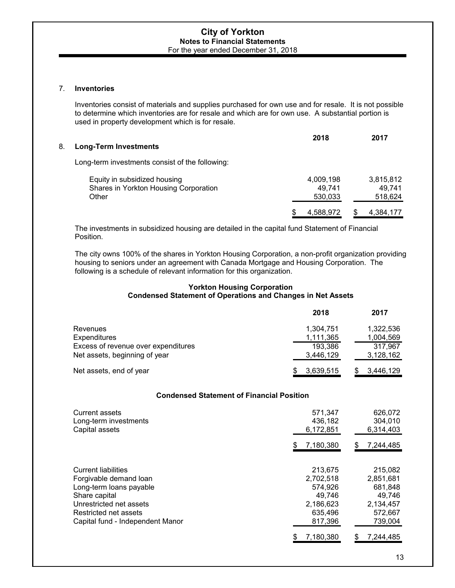#### 7. **Inventories**

Inventories consist of materials and supplies purchased for own use and for resale. It is not possible to determine which inventories are for resale and which are for own use. A substantial portion is used in property development which is for resale.

|    |                                                                                | 2018                           | 2017                           |
|----|--------------------------------------------------------------------------------|--------------------------------|--------------------------------|
| 8. | <b>Long-Term Investments</b>                                                   |                                |                                |
|    | Long-term investments consist of the following:                                |                                |                                |
|    | Equity in subsidized housing<br>Shares in Yorkton Housing Corporation<br>Other | 4,009,198<br>49,741<br>530,033 | 3,815,812<br>49,741<br>518,624 |
|    |                                                                                | 4,588,972                      | 4,384,177                      |

The investments in subsidized housing are detailed in the capital fund Statement of Financial Position.

The city owns 100% of the shares in Yorkton Housing Corporation, a non-profit organization providing housing to seniors under an agreement with Canada Mortgage and Housing Corporation. The following is a schedule of relevant information for this organization.

#### **Yorkton Housing Corporation Condensed Statement of Operations and Changes in Net Assets**

|                                     | 2018           | 2017      |
|-------------------------------------|----------------|-----------|
| Revenues                            | 1,304,751      | 1,322,536 |
| <b>Expenditures</b>                 | 1,111,365      | 1,004,569 |
| Excess of revenue over expenditures | 193.386        | 317.967   |
| Net assets, beginning of year       | 3,446,129      | 3,128,162 |
| Net assets, end of year             | 3,639,515<br>S | 3,446,129 |

#### **Condensed Statement of Financial Position**

| Current assets                   | 571.347         | 626,072         |
|----------------------------------|-----------------|-----------------|
| Long-term investments            | 436,182         | 304,010         |
| Capital assets                   | 6,172,851       | 6,314,403       |
|                                  | 7,180,380<br>\$ | 7,244,485<br>\$ |
| <b>Current liabilities</b>       | 213,675         | 215,082         |
| Forgivable demand loan           | 2.702.518       | 2,851,681       |
| Long-term loans payable          | 574.926         | 681,848         |
| Share capital                    | 49.746          | 49,746          |
| Unrestricted net assets          | 2,186,623       | 2,134,457       |
| Restricted net assets            | 635,496         | 572,667         |
| Capital fund - Independent Manor | 817,396         | 739,004         |
|                                  | 7.180.380<br>\$ | 7.244.485<br>\$ |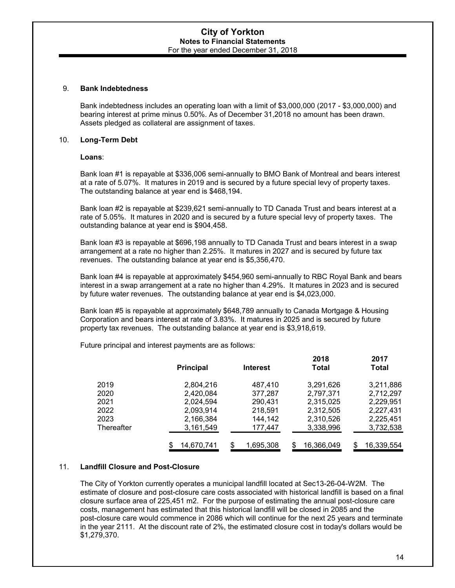#### 9. **Bank Indebtedness**

Bank indebtedness includes an operating loan with a limit of \$3,000,000 (2017 - \$3,000,000) and bearing interest at prime minus 0.50%. As of December 31,2018 no amount has been drawn. Assets pledged as collateral are assignment of taxes.

#### 10. **Long-Term Debt**

#### **Loans**:

Bank loan #1 is repayable at \$336,006 semi-annually to BMO Bank of Montreal and bears interest at a rate of 5.07%. It matures in 2019 and is secured by a future special levy of property taxes. The outstanding balance at year end is \$468,194.

Bank loan #2 is repayable at \$239,621 semi-annually to TD Canada Trust and bears interest at a rate of 5.05%. It matures in 2020 and is secured by a future special levy of property taxes. The outstanding balance at year end is \$904,458.

Bank loan #3 is repayable at \$696,198 annually to TD Canada Trust and bears interest in a swap arrangement at a rate no higher than 2.25%. It matures in 2027 and is secured by future tax revenues. The outstanding balance at year end is \$5,356,470.

Bank loan #4 is repayable at approximately \$454,960 semi-annually to RBC Royal Bank and bears interest in a swap arrangement at a rate no higher than 4.29%. It matures in 2023 and is secured by future water revenues. The outstanding balance at year end is \$4,023,000.

Bank loan #5 is repayable at approximately \$648,789 annually to Canada Mortgage & Housing Corporation and bears interest at rate of 3.83%. It matures in 2025 and is secured by future property tax revenues. The outstanding balance at year end is \$3,918,619.

Future principal and interest payments are as follows:

|            | <b>Principal</b> | <b>Interest</b> | 2018<br>Total   | 2017<br>Total |
|------------|------------------|-----------------|-----------------|---------------|
| 2019       | 2,804,216        | 487.410         | 3,291,626       | 3,211,886     |
| 2020       | 2,420,084        | 377,287         | 2,797,371       | 2,712,297     |
| 2021       | 2,024,594        | 290,431         | 2,315,025       | 2,229,951     |
| 2022       | 2,093,914        | 218,591         | 2,312,505       | 2,227,431     |
| 2023       | 2,166,384        | 144,142         | 2,310,526       | 2,225,451     |
| Thereafter | 3,161,549        | 177,447         | 3,338,996       | 3,732,538     |
|            | 14,670,741<br>S  | 1,695,308<br>S  | 16,366,049<br>S | 16,339,554    |

#### 11. **Landfill Closure and Post-Closure**

The City of Yorkton currently operates a municipal landfill located at Sec13-26-04-W2M. The estimate of closure and post-closure care costs associated with historical landfill is based on a final closure surface area of 225,451 m2. For the purpose of estimating the annual post-closure care costs, management has estimated that this historical landfill will be closed in 2085 and the post-closure care would commence in 2086 which will continue for the next 25 years and terminate in the year 2111. At the discount rate of 2%, the estimated closure cost in today's dollars would be \$1,279,370.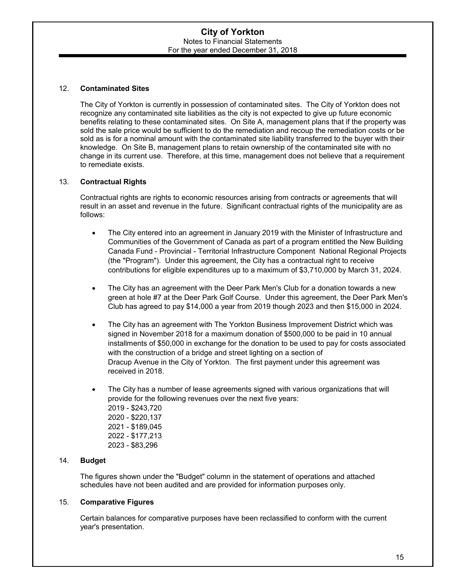#### 12. **Contaminated Sites**

The City of Yorkton is currently in possession of contaminated sites. The City of Yorkton does not recognize any contaminated site liabilities as the city is not expected to give up future economic benefits relating to these contaminated sites. On Site A, management plans that if the property was sold the sale price would be sufficient to do the remediation and recoup the remediation costs or be sold as is for a nominal amount with the contaminated site liability transferred to the buyer with their knowledge. On Site B, management plans to retain ownership of the contaminated site with no change in its current use. Therefore, at this time, management does not believe that a requirement to remediate exists.

#### 13. **Contractual Rights**

Contractual rights are rights to economic resources arising from contracts or agreements that will result in an asset and revenue in the future. Significant contractual rights of the municipality are as follows:

- The City entered into an agreement in January 2019 with the Minister of Infrastructure and Communities of the Government of Canada as part of a program entitled the New Building Canada Fund - Provincial - Territorial Infrastructure Component National Regional Projects (the "Program"). Under this agreement, the City has a contractual right to receive contributions for eligible expenditures up to a maximum of \$3,710,000 by March 31, 2024.
- The City has an agreement with the Deer Park Men's Club for a donation towards a new green at hole #7 at the Deer Park Golf Course. Under this agreement, the Deer Park Men's Club has agreed to pay \$14,000 a year from 2019 though 2023 and then \$15,000 in 2024.
- The City has an agreement with The Yorkton Business Improvement District which was signed in November 2018 for a maximum donation of \$500,000 to be paid in 10 annual installments of \$50,000 in exchange for the donation to be used to pay for costs associated with the construction of a bridge and street lighting on a section of Dracup Avenue in the City of Yorkton. The first payment under this agreement was received in 2018.
- The City has a number of lease agreements signed with various organizations that will provide for the following revenues over the next five years: 2019 - \$243,720 2020 - \$220,137 2021 - \$189,045 2022 - \$177,213 2023 - \$83,296

#### 14. **Budget**

The figures shown under the "Budget" column in the statement of operations and attached schedules have not been audited and are provided for information purposes only.

#### 15. **Comparative Figures**

Certain balances for comparative purposes have been reclassified to conform with the current year's presentation.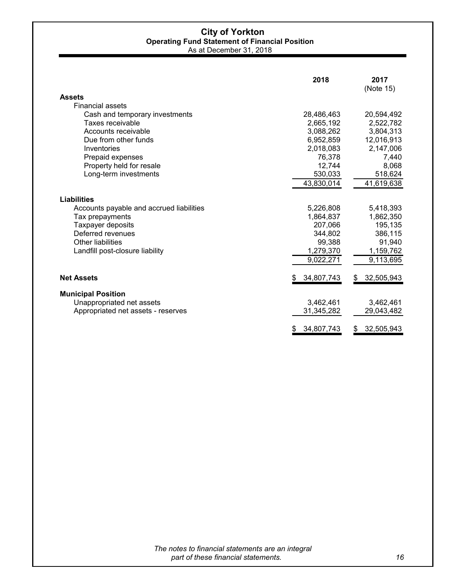## **City of Yorkton Operating Fund Statement of Financial Position**

As at December 31, 2018

|                                          | 2018             | 2017<br>(Note 15) |
|------------------------------------------|------------------|-------------------|
| <b>Assets</b>                            |                  |                   |
| <b>Financial assets</b>                  |                  |                   |
| Cash and temporary investments           | 28,486,463       | 20,594,492        |
| Taxes receivable                         | 2,665,192        | 2,522,782         |
| Accounts receivable                      | 3,088,262        | 3,804,313         |
| Due from other funds                     | 6,952,859        | 12,016,913        |
| Inventories                              | 2,018,083        | 2,147,006         |
| Prepaid expenses                         | 76,378           | 7,440             |
| Property held for resale                 | 12,744           | 8,068             |
| Long-term investments                    | 530,033          | 518,624           |
|                                          | 43,830,014       | 41,619,638        |
| Liabilities                              |                  |                   |
| Accounts payable and accrued liabilities | 5,226,808        | 5,418,393         |
| Tax prepayments                          | 1,864,837        | 1,862,350         |
| Taxpayer deposits                        | 207,066          | 195,135           |
| Deferred revenues                        | 344,802          | 386,115           |
| <b>Other liabilities</b>                 | 99,388           | 91,940            |
| Landfill post-closure liability          | 1,279,370        | 1,159,762         |
|                                          | 9,022,271        | 9,113,695         |
| <b>Net Assets</b>                        | 34,807,743<br>SS | 32,505,943<br>\$  |
| <b>Municipal Position</b>                |                  |                   |
| Unappropriated net assets                | 3,462,461        | 3,462,461         |
| Appropriated net assets - reserves       | 31,345,282       | 29,043,482        |
|                                          | 34,807,743<br>\$ | 32,505,943<br>\$  |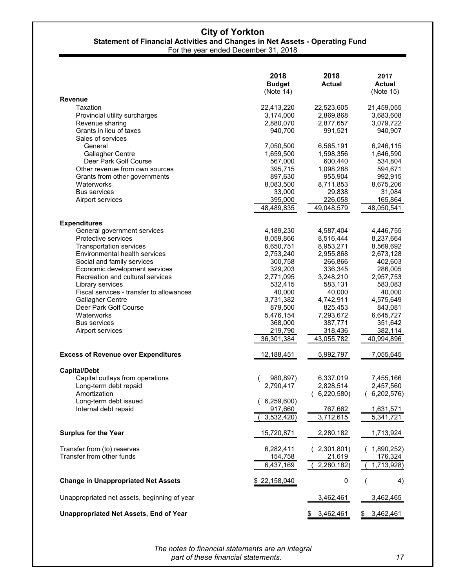## **City of Yorkton Statement of Financial Activities and Changes in Net Assets - Operating Fund**

|  | For the year ended December 31, 2018 |
|--|--------------------------------------|
|--|--------------------------------------|

|                                                    | 2018<br><b>Budget</b><br>(Note 14) | 2018<br><b>Actual</b> | 2017<br><b>Actual</b><br>(Note 15) |
|----------------------------------------------------|------------------------------------|-----------------------|------------------------------------|
| <b>Revenue</b>                                     |                                    |                       |                                    |
| Taxation                                           | 22,413,220                         | 22,523,605            | 21,459,055                         |
| Provincial utility surcharges                      | 3,174,000                          | 2,869,868             | 3,683,608                          |
| Revenue sharing                                    | 2,880,070                          | 2,877,657             | 3,079,722                          |
| Grants in lieu of taxes                            | 940,700                            | 991,521               | 940,907                            |
| Sales of services                                  |                                    |                       |                                    |
| General                                            | 7,050,500                          | 6,565,191             | 6,246,115                          |
| Gallagher Centre                                   | 1,659,500                          | 1,598,356             | 1,646,590                          |
| Deer Park Golf Course                              | 567,000                            | 600,440               | 534,804                            |
| Other revenue from own sources                     | 395,715                            | 1,098,288             | 594,671                            |
| Grants from other governments                      | 897,630                            | 955,904               | 992,915                            |
| Waterworks                                         | 8,083,500                          | 8,711,853             | 8,675,206                          |
| <b>Bus services</b>                                | 33,000                             | 29,838                | 31,084                             |
| Airport services                                   | 395,000                            | 226,058               | 165,864                            |
|                                                    | 48,489,835                         | 49,048,579            | 48,050,541                         |
| <b>Expenditures</b><br>General government services | 4,189,230                          | 4,587,404             | 4,446,755                          |
| Protective services                                | 8,059,866                          | 8,516,444             | 8,237,664                          |
| <b>Transportation services</b>                     | 6,650,751                          | 8,953,271             | 8,569,692                          |
| Environmental health services                      | 2,753,240                          | 2,955,868             | 2,673,128                          |
| Social and family services                         | 300,758                            | 266,866               | 402,603                            |
| Economic development services                      | 329,203                            | 336,345               | 286,005                            |
| Recreation and cultural services                   | 2,771,095                          | 3,248,210             | 2,957,753                          |
| Library services                                   | 532,415                            | 583,131               | 583,083                            |
| Fiscal services - transfer to allowances           | 40,000                             | 40,000                | 40,000                             |
| Gallagher Centre                                   | 3,731,382                          | 4,742,911             | 4,575,649                          |
| Deer Park Golf Course                              | 879,500                            | 825,453               | 843,081                            |
| Waterworks                                         | 5,476,154                          | 7,293,672             | 6,645,727                          |
| <b>Bus services</b>                                | 368,000                            | 387,771               | 351,642                            |
| Airport services                                   | 219,790                            | 318,436               | 382,114                            |
|                                                    | 36,301,384                         | 43,055,782            | 40,994,896                         |
| <b>Excess of Revenue over Expenditures</b>         | 12,188,451                         | 5,992,797             | 7,055,645                          |
| <b>Capital/Debt</b>                                |                                    |                       |                                    |
| Capital outlays from operations                    | 980,897)                           | 6,337,019             | 7,455,166                          |
| Long-term debt repaid                              | 2,790,417                          | 2,828,514             | 2,457,560                          |
| Amortization                                       |                                    | (6,220,580)           | (6,202,576)                        |
| Long-term debt issued                              | (6,259,600)                        |                       |                                    |
| Internal debt repaid                               | 917,660                            | 767,662               | 1,631,571                          |
|                                                    | 3,532,420)                         | 3,712,615             | 5,341,721                          |
| <b>Surplus for the Year</b>                        | 15,720,871                         | 2,280,182             | 1,713,924                          |
| Transfer from (to) reserves                        | 6,282,411                          | (2,301,801)           | 1,890,252)                         |
| Transfer from other funds                          | 154,758                            | 21,619                | 176,324                            |
|                                                    | 6,437,169                          | 2,280,182)            | 1,713,928)                         |
| <b>Change in Unappropriated Net Assets</b>         | \$22,158,040                       | 0                     | 4)                                 |
| Unappropriated net assets, beginning of year       |                                    | 3,462,461             | 3,462,465                          |
| <b>Unappropriated Net Assets, End of Year</b>      |                                    | 3,462,461             | 3,462,461<br>\$                    |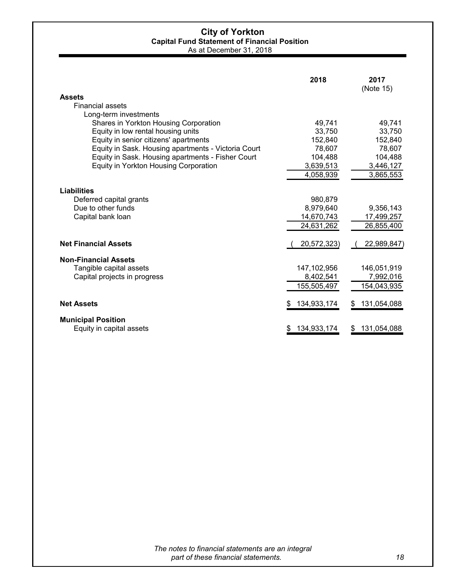## **City of Yorkton Capital Fund Statement of Financial Position**

As at December 31, 2018

|                                                     | 2018              | 2017<br>(Note 15) |
|-----------------------------------------------------|-------------------|-------------------|
| <b>Assets</b>                                       |                   |                   |
| <b>Financial assets</b>                             |                   |                   |
| Long-term investments                               |                   |                   |
| Shares in Yorkton Housing Corporation               | 49,741            | 49,741            |
| Equity in low rental housing units                  | 33,750            | 33,750            |
| Equity in senior citizens' apartments               | 152,840           | 152,840           |
| Equity in Sask. Housing apartments - Victoria Court | 78,607            | 78,607            |
| Equity in Sask. Housing apartments - Fisher Court   | 104,488           | 104,488           |
| Equity in Yorkton Housing Corporation               | 3,639,513         | 3,446,127         |
|                                                     | 4,058,939         | 3,865,553         |
|                                                     |                   |                   |
| <b>Liabilities</b>                                  |                   |                   |
| Deferred capital grants                             | 980,879           |                   |
| Due to other funds                                  | 8,979,640         | 9,356,143         |
| Capital bank loan                                   | 14,670,743        | 17,499,257        |
|                                                     | 24,631,262        | 26,855,400        |
| <b>Net Financial Assets</b>                         | 20,572,323)       | 22,989,847)       |
| <b>Non-Financial Assets</b>                         |                   |                   |
| Tangible capital assets                             | 147,102,956       | 146,051,919       |
| Capital projects in progress                        | 8,402,541         | 7,992,016         |
|                                                     | 155,505,497       | 154,043,935       |
| <b>Net Assets</b>                                   | 134,933,174       | 131,054,088<br>\$ |
|                                                     |                   |                   |
| <b>Municipal Position</b>                           |                   |                   |
| Equity in capital assets                            | 134,933,174<br>\$ | 131,054,088<br>\$ |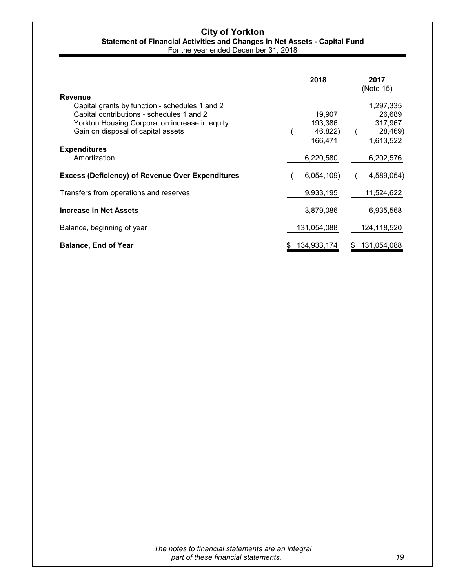#### **City of Yorkton Statement of Financial Activities and Changes in Net Assets - Capital Fund** For the year ended December 31, 2018

|                                                                                                                                                                                                       | 2018                              | 2017<br>(Note 15)                         |
|-------------------------------------------------------------------------------------------------------------------------------------------------------------------------------------------------------|-----------------------------------|-------------------------------------------|
| <b>Revenue</b><br>Capital grants by function - schedules 1 and 2<br>Capital contributions - schedules 1 and 2<br>Yorkton Housing Corporation increase in equity<br>Gain on disposal of capital assets | 19,907<br>193,386<br>46,822)      | 1,297,335<br>26,689<br>317,967<br>28,469) |
| <b>Expenditures</b><br>Amortization<br><b>Excess (Deficiency) of Revenue Over Expenditures</b>                                                                                                        | 166,471<br>6,220,580<br>6,054,109 | 1,613,522<br>6,202,576<br>4,589,054)      |
| Transfers from operations and reserves                                                                                                                                                                | 9,933,195                         | 11,524,622                                |
| Increase in Net Assets                                                                                                                                                                                | 3,879,086                         | 6,935,568                                 |
| Balance, beginning of year                                                                                                                                                                            | 131,054,088                       | 124,118,520                               |
| <b>Balance, End of Year</b>                                                                                                                                                                           | 134,933,174<br>\$                 | 131,054,088<br>S                          |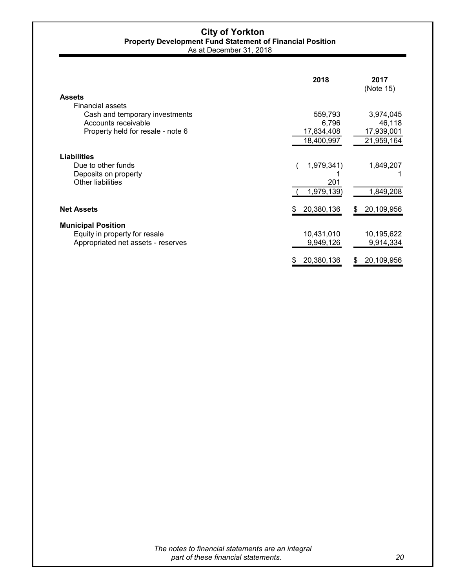#### **City of Yorkton Property Development Fund Statement of Financial Position** As at December 31, 2018

|                                                                                                                | 2018                                         | 2017<br>(Note 15)                               |
|----------------------------------------------------------------------------------------------------------------|----------------------------------------------|-------------------------------------------------|
| <b>Assets</b>                                                                                                  |                                              |                                                 |
| Financial assets<br>Cash and temporary investments<br>Accounts receivable<br>Property held for resale - note 6 | 559,793<br>6,796<br>17,834,408<br>18,400,997 | 3,974,045<br>46,118<br>17,939,001<br>21,959,164 |
| <b>Liabilities</b>                                                                                             |                                              |                                                 |
| Due to other funds<br>Deposits on property<br>Other liabilities                                                | 1,979,341)<br>201                            | 1,849,207                                       |
|                                                                                                                | 1,979,139)                                   | 1,849,208                                       |
| <b>Net Assets</b>                                                                                              | 20,380,136<br>S                              | 20,109,956<br>\$                                |
| <b>Municipal Position</b>                                                                                      |                                              |                                                 |
| Equity in property for resale<br>Appropriated net assets - reserves                                            | 10,431,010<br>9,949,126                      | 10,195,622<br>9,914,334                         |
|                                                                                                                | 20,380,136<br>\$                             | 20,109,956<br>S                                 |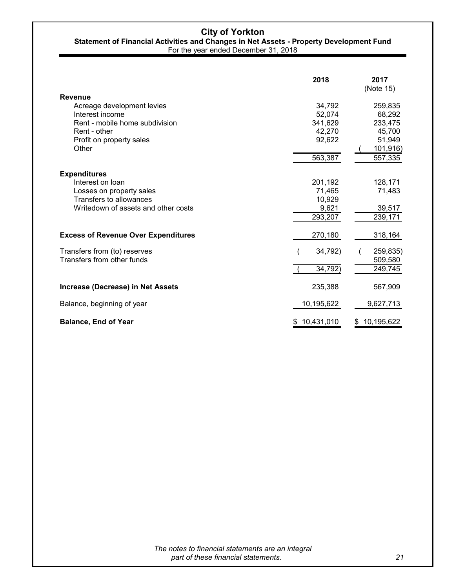## **City of Yorkton**

#### **Statement of Financial Activities and Changes in Net Assets - Property Development Fund** For the year ended December 31, 2018

|                                                                                                                                                        | 2018                                                       | 2017<br>(Note 15)                                                       |
|--------------------------------------------------------------------------------------------------------------------------------------------------------|------------------------------------------------------------|-------------------------------------------------------------------------|
| <b>Revenue</b><br>Acreage development levies<br>Interest income<br>Rent - mobile home subdivision<br>Rent - other<br>Profit on property sales<br>Other | 34,792<br>52,074<br>341,629<br>42,270<br>92,622<br>563,387 | 259,835<br>68,292<br>233,475<br>45,700<br>51,949<br>101,916)<br>557,335 |
| <b>Expenditures</b><br>Interest on loan<br>Losses on property sales<br>Transfers to allowances<br>Writedown of assets and other costs                  | 201,192<br>71,465<br>10,929<br>9,621<br>293,207            | 128,171<br>71,483<br>39,517<br>239,171                                  |
| <b>Excess of Revenue Over Expenditures</b>                                                                                                             | 270,180                                                    | 318,164                                                                 |
| Transfers from (to) reserves<br>Transfers from other funds                                                                                             | 34,792)<br>34,792)                                         | 259,835)<br>509,580<br>249,745                                          |
| Increase (Decrease) in Net Assets                                                                                                                      | 235,388                                                    | 567,909                                                                 |
| Balance, beginning of year                                                                                                                             | 10,195,622                                                 | 9,627,713                                                               |
| <b>Balance, End of Year</b>                                                                                                                            | \$10,431,010                                               | \$10,195,622                                                            |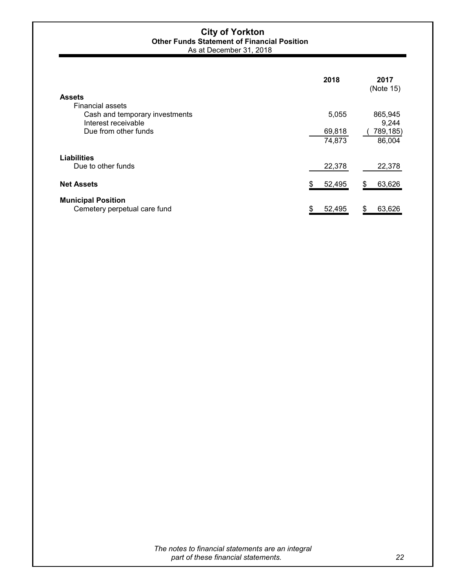## **City of Yorkton Other Funds Statement of Financial Position**

As at December 31, 2018

|                                | 2018         | 2017<br>(Note 15) |
|--------------------------------|--------------|-------------------|
| <b>Assets</b>                  |              |                   |
| <b>Financial assets</b>        |              |                   |
| Cash and temporary investments | 5,055        | 865,945           |
| Interest receivable            |              | 9,244             |
| Due from other funds           | 69,818       | 789,185)          |
|                                | 74,873       | 86,004            |
| <b>Liabilities</b>             |              |                   |
| Due to other funds             | 22,378       | 22,378            |
| <b>Net Assets</b>              | \$<br>52,495 | \$<br>63,626      |
| <b>Municipal Position</b>      |              |                   |
| Cemetery perpetual care fund   | \$<br>52,495 | \$<br>63,626      |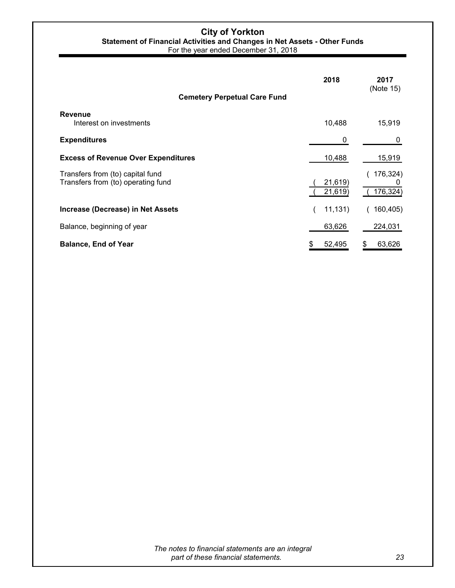## **City of Yorkton Statement of Financial Activities and Changes in Net Assets - Other Funds**

For the year ended December 31, 2018

| <b>Cemetery Perpetual Care Fund</b>                                    | 2018               | 2017<br>(Note 15)    |
|------------------------------------------------------------------------|--------------------|----------------------|
| <b>Revenue</b><br>Interest on investments                              | 10,488             | 15,919               |
| <b>Expenditures</b>                                                    | 0                  | 0                    |
| <b>Excess of Revenue Over Expenditures</b>                             | 10,488             | 15,919               |
| Transfers from (to) capital fund<br>Transfers from (to) operating fund | 21,619)<br>21,619) | 176,324)<br>176,324) |
| <b>Increase (Decrease) in Net Assets</b>                               | 11,131)            | 160,405)             |
| Balance, beginning of year                                             | 63,626             | 224,031              |
| <b>Balance, End of Year</b>                                            | 52,495<br>\$       | 63,626<br>S          |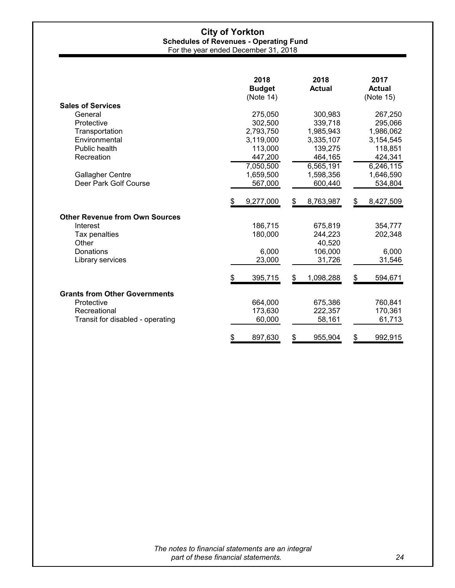#### **City of Yorkton Schedules of Revenues - Operating Fund**

For the year ended December 31, 2018

|                                       | 2018<br><b>Budget</b><br>(Note 14) | 2018<br><b>Actual</b> | 2017<br><b>Actual</b><br>(Note 15) |
|---------------------------------------|------------------------------------|-----------------------|------------------------------------|
| <b>Sales of Services</b>              |                                    |                       |                                    |
| General                               | 275,050                            | 300,983               | 267,250                            |
| Protective                            | 302,500                            | 339,718               | 295,066                            |
| Transportation                        | 2,793,750                          | 1,985,943             | 1,986,062                          |
| Environmental                         | 3,119,000                          | 3,335,107             | 3,154,545                          |
| Public health                         | 113,000                            | 139,275               | 118,851                            |
| Recreation                            | 447,200                            | 464,165               | 424,341                            |
|                                       | 7,050,500                          | 6,565,191             | 6,246,115                          |
| <b>Gallagher Centre</b>               | 1,659,500                          | 1,598,356             | 1,646,590                          |
| Deer Park Golf Course                 | 567,000                            | 600,440               | 534,804                            |
|                                       |                                    |                       |                                    |
|                                       | 9,277,000<br>\$                    | \$<br>8,763,987       | \$<br>8,427,509                    |
| <b>Other Revenue from Own Sources</b> |                                    |                       |                                    |
| Interest                              | 186,715                            | 675,819               | 354,777                            |
| Tax penalties                         | 180,000                            | 244,223               | 202,348                            |
| Other                                 |                                    | 40,520                |                                    |
| Donations                             | 6,000                              | 106,000               | 6,000                              |
| Library services                      | 23,000                             | 31,726                | 31,546                             |
|                                       | 395,715<br>\$                      | 1,098,288<br>\$       | \$<br>594,671                      |
| <b>Grants from Other Governments</b>  |                                    |                       |                                    |
| Protective                            | 664,000                            | 675,386               | 760,841                            |
| Recreational                          | 173,630                            | 222,357               | 170,361                            |
|                                       | 60,000                             |                       | 61,713                             |
| Transit for disabled - operating      |                                    | 58,161                |                                    |
|                                       | \$<br>897,630                      | \$<br>955,904         | \$<br>992,915                      |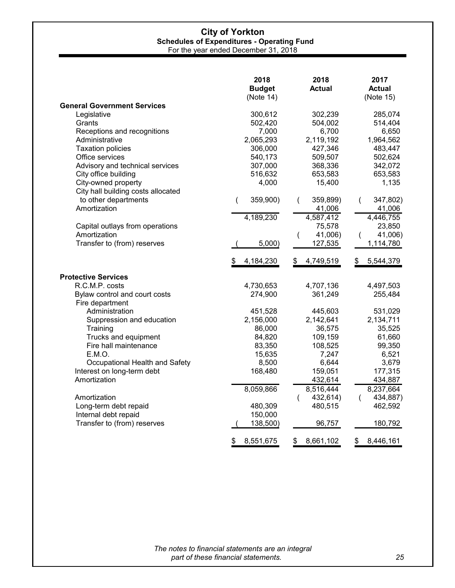|                                    | 2018<br><b>Budget</b><br>(Note 14) | 2018<br><b>Actual</b>      | 2017<br><b>Actual</b><br>(Note 15) |
|------------------------------------|------------------------------------|----------------------------|------------------------------------|
| <b>General Government Services</b> |                                    |                            |                                    |
| Legislative                        | 300,612                            | 302,239                    | 285,074                            |
| Grants                             | 502,420                            | 504,002                    | 514,404                            |
| Receptions and recognitions        | 7,000                              | 6,700                      | 6,650                              |
| Administrative                     | 2,065,293                          | 2,119,192                  | 1,964,562                          |
| <b>Taxation policies</b>           | 306,000                            | 427,346                    | 483,447                            |
| Office services                    | 540,173                            | 509,507                    | 502,624                            |
| Advisory and technical services    | 307,000                            | 368,336                    | 342,072                            |
| City office building               | 516,632                            | 653,583                    | 653,583                            |
| City-owned property                | 4,000                              | 15,400                     | 1,135                              |
| City hall building costs allocated |                                    |                            |                                    |
| to other departments               | 359,900)<br>(                      | 359,899)<br>(              | 347,802)<br>(                      |
| Amortization                       |                                    | 41,006                     | 41,006                             |
|                                    | 4,189,230                          | 4,587,412                  | 4,446,755                          |
| Capital outlays from operations    |                                    | 75,578                     | 23,850                             |
| Amortization                       |                                    | 41,006)                    | 41,006)                            |
| Transfer to (from) reserves        | 5,000                              | 127,535                    | 1,114,780                          |
|                                    | 4,184,230                          | 4,749,519<br>\$            | 5,544,379<br>\$                    |
| <b>Protective Services</b>         |                                    |                            |                                    |
| R.C.M.P. costs                     | 4,730,653                          | 4,707,136                  | 4,497,503                          |
| Bylaw control and court costs      | 274,900                            | 361,249                    | 255,484                            |
| Fire department                    |                                    |                            |                                    |
| Administration                     | 451,528                            | 445,603                    | 531,029                            |
| Suppression and education          | 2,156,000                          | 2,142,641                  | 2,134,711                          |
| Training                           | 86,000                             | 36,575                     | 35,525                             |
| Trucks and equipment               | 84,820                             | 109,159                    | 61,660                             |
| Fire hall maintenance              | 83,350                             | 108,525                    | 99,350                             |
| E.M.O.                             | 15,635                             | 7,247                      | 6,521                              |
| Occupational Health and Safety     | 8,500                              | 6,644                      | 3,679                              |
| Interest on long-term debt         | 168,480                            | 159,051                    | 177,315                            |
| Amortization                       |                                    | 432,614                    | 434,887                            |
|                                    | 8,059,866                          | 8,516,444                  | 8,237,664                          |
| Amortization                       |                                    | 432,614)<br>$\overline{(}$ | 434,887)<br>€                      |
| Long-term debt repaid              | 480,309                            | 480,515                    | 462,592                            |
| Internal debt repaid               | 150,000                            |                            |                                    |
| Transfer to (from) reserves        | 138,500)                           | 96,757                     | 180,792                            |
|                                    | 8,551,675                          | 8,661,102<br>\$            | 8,446,161<br>\$                    |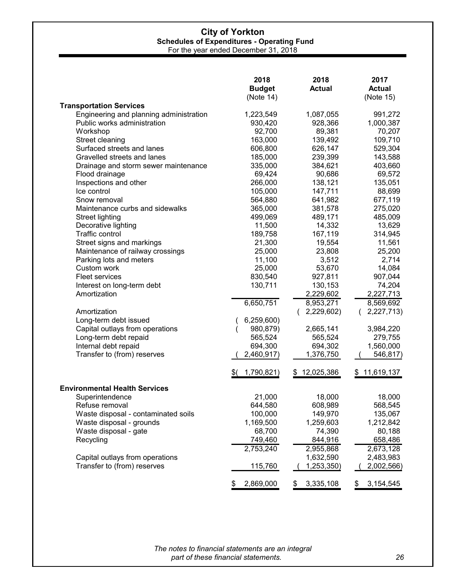|                                         | 2018<br><b>Budget</b><br>(Note 14) | 2018<br><b>Actual</b> | 2017<br><b>Actual</b><br>(Note 15) |
|-----------------------------------------|------------------------------------|-----------------------|------------------------------------|
| <b>Transportation Services</b>          |                                    |                       |                                    |
| Engineering and planning administration | 1,223,549                          | 1,087,055             | 991,272                            |
| Public works administration             | 930,420                            | 928,366               | 1,000,387                          |
| Workshop                                | 92,700                             | 89,381                | 70,207                             |
| Street cleaning                         | 163,000                            | 139,492               | 109,710                            |
| Surfaced streets and lanes              | 606,800                            | 626,147               | 529,304                            |
| Gravelled streets and lanes             | 185,000                            | 239,399               | 143,588                            |
| Drainage and storm sewer maintenance    | 335,000                            | 384,621               | 403,660                            |
| Flood drainage                          | 69,424                             | 90,686                | 69,572                             |
| Inspections and other                   | 266,000                            | 138,121               | 135,051                            |
| Ice control                             | 105,000                            | 147,711               | 88,699                             |
| Snow removal                            | 564,880                            | 641,982               | 677,119                            |
| Maintenance curbs and sidewalks         | 365,000                            | 381,578               | 275,020                            |
| <b>Street lighting</b>                  | 499,069                            | 489,171               | 485,009                            |
| Decorative lighting                     | 11,500                             | 14,332                | 13,629                             |
| <b>Traffic control</b>                  | 189,758                            | 167,119               | 314,945                            |
| Street signs and markings               | 21,300                             | 19,554                | 11,561                             |
| Maintenance of railway crossings        | 25,000                             | 23,808                | 25,200                             |
| Parking lots and meters                 | 11,100                             | 3,512                 | 2,714                              |
| Custom work                             | 25,000                             | 53,670                | 14,084                             |
| <b>Fleet services</b>                   | 830,540                            | 927,811               | 907,044                            |
| Interest on long-term debt              | 130,711                            | 130,153               | 74,204                             |
| Amortization                            |                                    | 2,229,602             | 2,227,713                          |
|                                         | 6,650,751                          | 8,953,271             | 8,569,692                          |
| Amortization                            |                                    | 2,229,602)            | 2,227,713)                         |
| Long-term debt issued                   | 6,259,600)                         |                       |                                    |
| Capital outlays from operations         | 980,879)                           | 2,665,141             | 3,984,220                          |
| Long-term debt repaid                   | 565,524                            | 565,524               | 279,755                            |
| Internal debt repaid                    | 694,300                            | 694,302               | 1,560,000                          |
| Transfer to (from) reserves             | 2,460,917)                         | 1,376,750             | 546,817)                           |
|                                         | 1,790,821)<br>\$(                  | \$12,025,386          | \$11,619,137                       |
| <b>Environmental Health Services</b>    |                                    |                       |                                    |
| Superintendence                         | 21,000                             | 18,000                | 18,000                             |
| Refuse removal                          | 644,580                            | 608,989               | 568,545                            |
| Waste disposal - contaminated soils     | 100,000                            | 149,970               | 135,067                            |
| Waste disposal - grounds                | 1,169,500                          | 1,259,603             | 1,212,842                          |
| Waste disposal - gate                   | 68,700                             | 74,390                | 80,188                             |
| Recycling                               | 749,460                            | 844,916               | 658,486                            |
|                                         | 2,753,240                          | 2,955,868             | 2,673,128                          |
| Capital outlays from operations         |                                    | 1,632,590             | 2,483,983                          |
| Transfer to (from) reserves             | 115,760                            | 1,253,350)            | 2,002,566)                         |
|                                         | \$<br>2,869,000                    | 3,335,108<br>\$.      | 3, 154, 545<br>\$                  |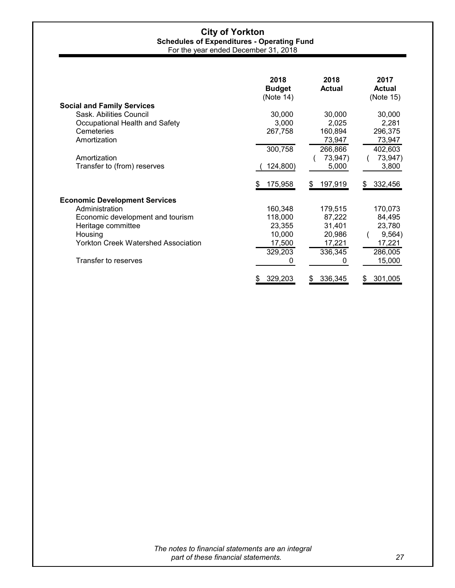|                                            | 2018<br><b>Budget</b><br>(Note 14) | 2018<br><b>Actual</b> | 2017<br>Actual<br>(Note 15) |
|--------------------------------------------|------------------------------------|-----------------------|-----------------------------|
| <b>Social and Family Services</b>          |                                    |                       |                             |
| Sask. Abilities Council                    | 30,000                             | 30,000                | 30,000                      |
| Occupational Health and Safety             | 3,000                              | 2,025                 | 2,281                       |
| Cemeteries                                 | 267,758                            | 160,894               | 296,375                     |
| Amortization                               |                                    | 73,947                | 73,947                      |
|                                            | 300,758                            | 266,866               | 402,603                     |
| Amortization                               |                                    | 73,947)               | 73,947)                     |
| Transfer to (from) reserves                | 124,800)                           | 5,000                 | 3,800                       |
|                                            | 175,958                            | 197,919<br>\$         | 332,456<br>S                |
| <b>Economic Development Services</b>       |                                    |                       |                             |
| Administration                             | 160,348                            | 179,515               | 170,073                     |
| Economic development and tourism           | 118,000                            | 87,222                | 84,495                      |
| Heritage committee                         | 23,355                             | 31,401                | 23,780                      |
| Housing                                    | 10,000                             | 20,986                | 9,564)                      |
| <b>Yorkton Creek Watershed Association</b> | 17,500                             | 17,221                | 17,221                      |
|                                            | 329,203                            | 336,345               | 286,005                     |
| Transfer to reserves                       | 0                                  | 0                     | 15,000                      |
|                                            | 329,203<br>S.                      | 336,345<br>S          | 301,005<br>S                |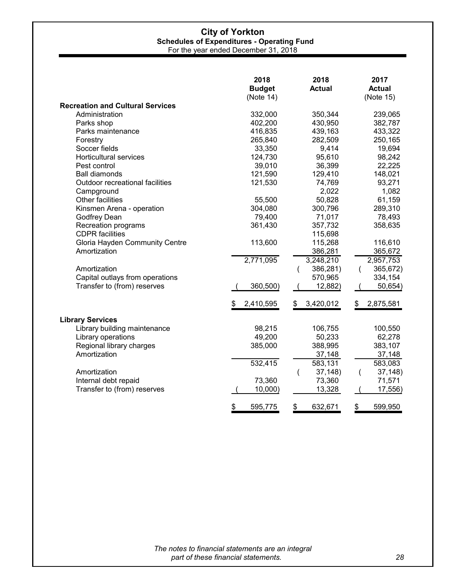|                                         | 2018<br><b>Budget</b><br>(Note 14) | 2018<br><b>Actual</b> | 2017<br><b>Actual</b><br>(Note 15) |
|-----------------------------------------|------------------------------------|-----------------------|------------------------------------|
| <b>Recreation and Cultural Services</b> |                                    |                       |                                    |
| Administration                          | 332,000                            | 350,344               | 239,065                            |
| Parks shop                              | 402,200                            | 430,950               | 382,787                            |
| Parks maintenance                       | 416,835                            | 439,163               | 433,322                            |
| Forestry                                | 265,840                            | 282,509               | 250,165                            |
| Soccer fields                           | 33,350                             | 9,414                 | 19,694                             |
| <b>Horticultural services</b>           | 124,730                            | 95,610                | 98,242                             |
| Pest control                            | 39,010                             | 36,399                | 22,225                             |
| <b>Ball diamonds</b>                    | 121,590                            | 129,410               | 148,021                            |
| Outdoor recreational facilities         | 121,530                            | 74,769                | 93,271                             |
| Campground                              |                                    | 2,022                 | 1,082                              |
| Other facilities                        | 55,500                             | 50,828                | 61,159                             |
| Kinsmen Arena - operation               | 304,080                            | 300,796               | 289,310                            |
| Godfrey Dean                            | 79,400                             | 71,017                | 78,493                             |
| Recreation programs                     | 361,430                            | 357,732               | 358,635                            |
| <b>CDPR</b> facilities                  |                                    | 115,698               |                                    |
| Gloria Hayden Community Centre          | 113,600                            | 115,268               | 116,610                            |
| Amortization                            |                                    | 386,281               | 365,672                            |
|                                         | 2,771,095                          | 3,248,210             | 2,957,753                          |
| Amortization                            |                                    | 386,281)              | 365,672)                           |
| Capital outlays from operations         |                                    | 570,965               | 334,154                            |
| Transfer to (from) reserves             | 360,500)                           | 12,882)               | 50,654)                            |
|                                         | 2,410,595                          | 3,420,012<br>\$       | \$<br>2,875,581                    |
| <b>Library Services</b>                 |                                    |                       |                                    |
| Library building maintenance            | 98,215                             | 106,755               | 100,550                            |
| Library operations                      | 49,200                             | 50,233                | 62,278                             |
| Regional library charges                | 385,000                            | 388,995               | 383,107                            |
| Amortization                            |                                    | 37,148                | 37,148                             |
|                                         | 532,415                            | 583,131               | 583,083                            |
| Amortization                            |                                    | 37,148<br>(           | 37,148<br>$\overline{(}$           |
| Internal debt repaid                    | 73,360                             | 73,360                | 71,571                             |
| Transfer to (from) reserves             | 10,000                             | 13,328                | 17,556)                            |
|                                         | \$<br>595,775                      | 632,671<br>\$         | \$<br>599,950                      |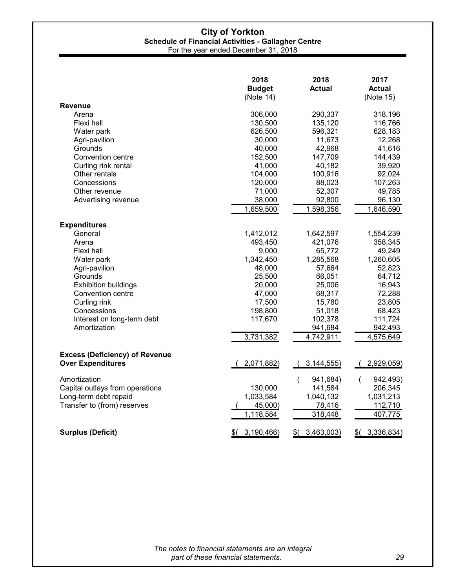#### **City of Yorkton Schedule of Financial Activities - Gallagher Centre** For the year ended December 31, 2018

|                                       | 2018<br><b>Budget</b><br>(Note 14) | 2018<br><b>Actual</b> | 2017<br><b>Actual</b><br>(Note 15) |
|---------------------------------------|------------------------------------|-----------------------|------------------------------------|
| <b>Revenue</b>                        |                                    |                       |                                    |
| Arena                                 | 306,000                            | 290,337               | 318,196                            |
| Flexi hall                            | 130,500                            | 135,120               | 116,766                            |
| Water park                            | 626,500                            | 596,321               | 628,183                            |
| Agri-pavilion                         | 30,000                             | 11,673                | 12,268                             |
| Grounds                               | 40,000                             | 42,968                | 41,616                             |
| Convention centre                     | 152,500                            | 147,709               | 144,439                            |
| Curling rink rental                   | 41,000                             | 40,182                | 39,920                             |
| Other rentals                         | 104,000                            | 100,916               | 92,024                             |
| Concessions                           | 120,000                            | 88,023                | 107,263                            |
| Other revenue                         | 71,000                             | 52,307                | 49,785                             |
| Advertising revenue                   | 38,000                             | 92,800                | 96,130                             |
|                                       | 1,659,500                          | 1,598,356             | 1,646,590                          |
| <b>Expenditures</b>                   |                                    |                       |                                    |
| General                               | 1,412,012                          | 1,642,597             | 1,554,239                          |
| Arena                                 | 493,450                            | 421,076               | 358,345                            |
| Flexi hall                            | 9,000                              | 65,772                | 49,249                             |
| Water park                            | 1,342,450                          | 1,285,568             | 1,260,605                          |
| Agri-pavilion                         | 48,000                             | 57,664                | 52,823                             |
| Grounds                               | 25,500                             | 66,051                | 64,712                             |
| <b>Exhibition buildings</b>           | 20,000                             | 25,006                | 16,943                             |
| Convention centre                     | 47,000                             | 68,317                | 72,288                             |
| Curling rink                          | 17,500                             | 15,780                | 23,805                             |
| Concessions                           | 198,800                            | 51,018                | 68,423                             |
| Interest on long-term debt            | 117,670                            | 102,378               | 111,724                            |
| Amortization                          |                                    | 941,684               | 942,493                            |
|                                       | 3,731,382                          | 4,742,911             | 4,575,649                          |
| <b>Excess (Deficiency) of Revenue</b> |                                    |                       |                                    |
| <b>Over Expenditures</b>              | 2,071,882)                         | 3,144,555             | 2,929,059)                         |
| Amortization                          |                                    | 941,684)<br>(         | $\left($<br>942,493)               |
| Capital outlays from operations       | 130,000                            | 141,584               | 206,345                            |
| Long-term debt repaid                 | 1,033,584                          | 1,040,132             | 1,031,213                          |
| Transfer to (from) reserves           | 45,000)                            | 78,416                | 112,710                            |
|                                       | 1,118,584                          | 318,448               | 407,775                            |
| <b>Surplus (Deficit)</b>              | \$(3,190,466)                      | \$(3,463,003)         | 3,336,834)<br>\$(                  |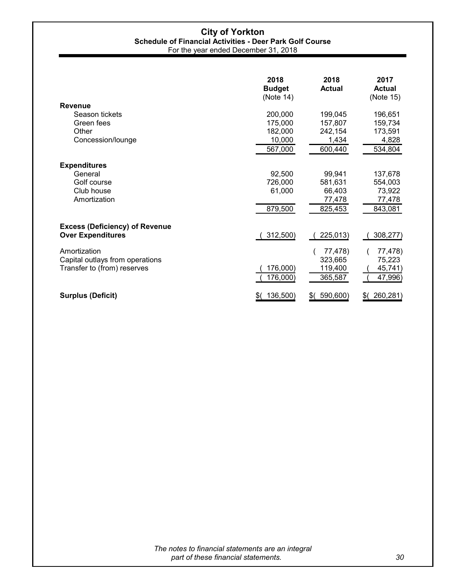#### **City of Yorkton Schedule of Financial Activities - Deer Park Golf Course** For the year ended December 31, 2018

|                                       | 2018<br><b>Budget</b><br>(Note 14) | 2018<br><b>Actual</b> | 2017<br><b>Actual</b><br>(Note 15) |
|---------------------------------------|------------------------------------|-----------------------|------------------------------------|
| <b>Revenue</b>                        |                                    |                       |                                    |
| Season tickets                        | 200,000                            | 199,045               | 196,651                            |
| Green fees                            | 175,000                            | 157,807               | 159,734                            |
| Other                                 | 182,000                            | 242,154               | 173,591                            |
| Concession/lounge                     | 10,000                             | 1,434                 | 4,828                              |
|                                       | 567,000                            | 600,440               | 534,804                            |
| <b>Expenditures</b>                   |                                    |                       |                                    |
| General                               | 92,500                             | 99,941                | 137,678                            |
| Golf course                           | 726,000                            | 581,631               | 554,003                            |
| Club house                            | 61,000                             | 66,403                | 73,922                             |
| Amortization                          |                                    | 77,478                | 77,478                             |
|                                       | 879,500                            | 825,453               | 843,081                            |
| <b>Excess (Deficiency) of Revenue</b> |                                    |                       |                                    |
| <b>Over Expenditures</b>              | 312,500)                           | 225,013)              | 308,277)                           |
| Amortization                          |                                    | 77,478)               | 77,478)                            |
| Capital outlays from operations       |                                    | 323,665               | 75,223                             |
| Transfer to (from) reserves           | 176,000)                           | 119,400               | 45,741)                            |
|                                       | 176,000)                           | 365,587               | 47,996)                            |
| <b>Surplus (Deficit)</b>              | 136,500)<br>\$(                    | \$(590,600)           | \$(260,281)                        |
|                                       |                                    |                       |                                    |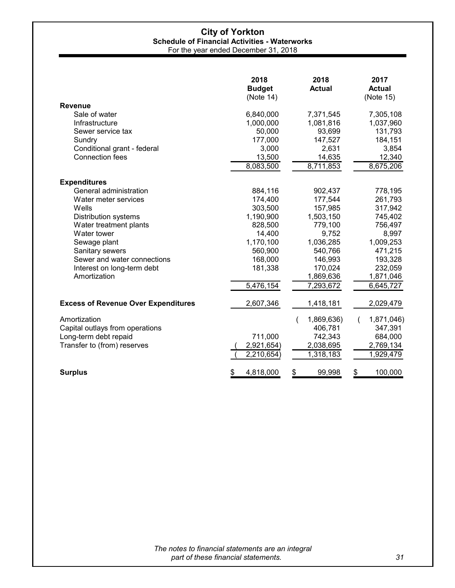#### **City of Yorkton Schedule of Financial Activities - Waterworks**

For the year ended December 31, 2018

|                                                                                                                                                                                                                                                                        | 2018<br><b>Budget</b><br>(Note 14)                                                                                         | 2018<br><b>Actual</b>                                                                                                                  | 2017<br><b>Actual</b><br>(Note 15)                                                                                                   |
|------------------------------------------------------------------------------------------------------------------------------------------------------------------------------------------------------------------------------------------------------------------------|----------------------------------------------------------------------------------------------------------------------------|----------------------------------------------------------------------------------------------------------------------------------------|--------------------------------------------------------------------------------------------------------------------------------------|
| <b>Revenue</b><br>Sale of water<br>Infrastructure<br>Sewer service tax<br>Sundry<br>Conditional grant - federal<br>Connection fees                                                                                                                                     | 6,840,000<br>1,000,000<br>50,000<br>177,000<br>3,000<br>13,500<br>8,083,500                                                | 7,371,545<br>1,081,816<br>93,699<br>147,527<br>2,631<br>14,635<br>8,711,853                                                            | 7,305,108<br>1,037,960<br>131,793<br>184,151<br>3,854<br>12,340<br>8,675,206                                                         |
| <b>Expenditures</b><br>General administration<br>Water meter services<br>Wells<br><b>Distribution systems</b><br>Water treatment plants<br>Water tower<br>Sewage plant<br>Sanitary sewers<br>Sewer and water connections<br>Interest on long-term debt<br>Amortization | 884,116<br>174,400<br>303,500<br>1,190,900<br>828,500<br>14,400<br>1,170,100<br>560,900<br>168,000<br>181,338<br>5,476,154 | 902,437<br>177,544<br>157,985<br>1,503,150<br>779,100<br>9,752<br>1,036,285<br>540,766<br>146,993<br>170,024<br>1,869,636<br>7,293,672 | 778,195<br>261,793<br>317,942<br>745,402<br>756,497<br>8,997<br>1,009,253<br>471,215<br>193,328<br>232,059<br>1,871,046<br>6,645,727 |
| <b>Excess of Revenue Over Expenditures</b>                                                                                                                                                                                                                             | 2,607,346                                                                                                                  | 1,418,181                                                                                                                              | 2,029,479                                                                                                                            |
| Amortization<br>Capital outlays from operations<br>Long-term debt repaid<br>Transfer to (from) reserves                                                                                                                                                                | 711,000<br>2,921,654)<br>2,210,654)                                                                                        | 1,869,636)<br>406,781<br>742,343<br>2,038,695<br>1,318,183                                                                             | 1,871,046)<br>347,391<br>684,000<br>2,769,134<br>1,929,479                                                                           |
| <b>Surplus</b>                                                                                                                                                                                                                                                         | 4,818,000<br>\$                                                                                                            | \$<br>99,998                                                                                                                           | \$<br>100,000                                                                                                                        |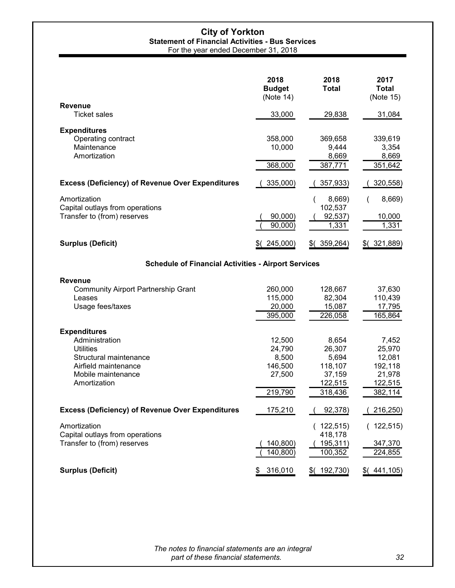#### **City of Yorkton Statement of Financial Activities - Bus Services** For the year ended December 31, 2018

|                                                         | 2018<br><b>Budget</b><br>(Note 14) | 2018<br>Total   | 2017<br>Total<br>(Note 15) |
|---------------------------------------------------------|------------------------------------|-----------------|----------------------------|
| <b>Revenue</b>                                          |                                    |                 |                            |
| <b>Ticket sales</b>                                     | 33,000                             | 29,838          | 31,084                     |
| <b>Expenditures</b>                                     |                                    |                 |                            |
| Operating contract                                      | 358,000                            | 369,658         | 339,619                    |
| Maintenance                                             | 10,000                             | 9,444           | 3,354                      |
| Amortization                                            |                                    | 8,669           | 8,669                      |
|                                                         | 368,000                            | 387,771         | 351,642                    |
| <b>Excess (Deficiency) of Revenue Over Expenditures</b> | 335,000)                           | 357,933)        | 320,558)                   |
| Amortization                                            |                                    | 8,669)          | 8,669)                     |
| Capital outlays from operations                         |                                    | 102,537         |                            |
| Transfer to (from) reserves                             | 90,000                             | 92,537)         | 10,000                     |
|                                                         | 90,000)                            | 1,331           | 1,331                      |
| <b>Surplus (Deficit)</b>                                | 245,000)<br>\$(                    | 359,264)<br>\$( | 321,889)<br>\$(            |

## **Schedule of Financial Activities - Airport Services**

| <b>Revenue</b>                                          |              |                 |             |
|---------------------------------------------------------|--------------|-----------------|-------------|
| <b>Community Airport Partnership Grant</b>              | 260,000      | 128,667         | 37,630      |
| Leases                                                  | 115,000      | 82,304          | 110,439     |
| Usage fees/taxes                                        | 20,000       | 15,087          | 17,795      |
|                                                         | 395,000      | 226,058         | 165,864     |
| <b>Expenditures</b>                                     |              |                 |             |
| Administration                                          | 12,500       | 8,654           | 7,452       |
| <b>Utilities</b>                                        | 24,790       | 26,307          | 25,970      |
| Structural maintenance                                  | 8,500        | 5,694           | 12,081      |
| Airfield maintenance                                    | 146,500      | 118,107         | 192,118     |
| Mobile maintenance                                      | 27,500       | 37,159          | 21,978      |
| Amortization                                            |              | 122,515         | 122,515     |
|                                                         | 219,790      | 318,436         | 382,114     |
| <b>Excess (Deficiency) of Revenue Over Expenditures</b> | 175,210      | 92,378)         | 216,250)    |
| Amortization                                            |              | 122,515)        | 122,515)    |
| Capital outlays from operations                         |              | 418,178         |             |
| Transfer to (from) reserves                             | 140,800)     | 195,311)        | 347,370     |
|                                                         | 140,800)     | 100,352         | 224,855     |
| <b>Surplus (Deficit)</b>                                | 316,010<br>S | 192,730)<br>\$( | \$(441,105) |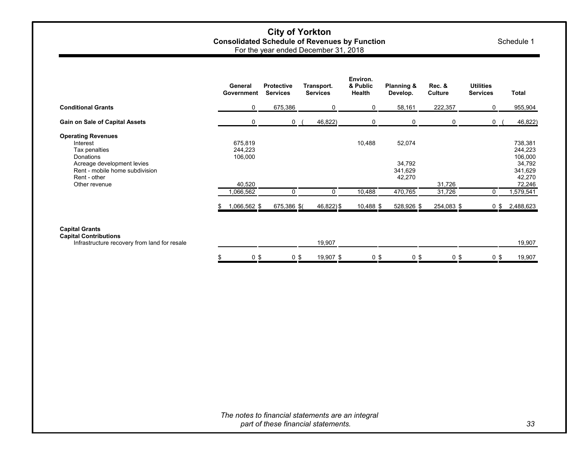#### **City of Yorkton Consolidated Schedule of Revenues by Function Schedule 1 Schedule 1 Schedule 1** For the year ended December 31, 2018

|                                                                                                                                                                      |    | General<br>Government                               | <b>Protective</b><br><b>Services</b> | Transport.<br><b>Services</b> | Environ.<br>& Public<br>Health | Planning &<br>Develop.                           | Rec. &<br><b>Culture</b> | <b>Utilities</b><br><b>Services</b> | Total                                                                               |
|----------------------------------------------------------------------------------------------------------------------------------------------------------------------|----|-----------------------------------------------------|--------------------------------------|-------------------------------|--------------------------------|--------------------------------------------------|--------------------------|-------------------------------------|-------------------------------------------------------------------------------------|
| <b>Conditional Grants</b>                                                                                                                                            |    | 0                                                   | 675,386                              | 0                             | 0                              | 58,161                                           | 222,357                  | 0                                   | 955,904                                                                             |
| <b>Gain on Sale of Capital Assets</b>                                                                                                                                |    | 0                                                   | 0                                    | 46,822)                       | 0                              | 0                                                | 0                        | 0                                   | 46,822)                                                                             |
| <b>Operating Revenues</b><br>Interest<br>Tax penalties<br>Donations<br>Acreage development levies<br>Rent - mobile home subdivision<br>Rent - other<br>Other revenue |    | 675,819<br>244,223<br>106,000<br>40,520<br>,066,562 | 0                                    | 0                             | 10,488<br>10,488               | 52,074<br>34,792<br>341,629<br>42,270<br>470,765 | 31,726<br>31,726         | 0                                   | 738,381<br>244,223<br>106,000<br>34,792<br>341,629<br>42,270<br>72,246<br>1,579,541 |
|                                                                                                                                                                      | S  | 1,066,562 \$                                        | 675,386 \$                           | 46,822) \$                    | 10,488 \$                      | 528,926 \$                                       | 254,083 \$               |                                     | $0$ \$ 2,488,623                                                                    |
| <b>Capital Grants</b><br><b>Capital Contributions</b><br>Infrastructure recovery from land for resale                                                                |    |                                                     |                                      | 19,907                        |                                |                                                  |                          |                                     | 19,907                                                                              |
|                                                                                                                                                                      | \$ | 0 <sup>5</sup>                                      | 0 <sup>5</sup>                       | 19,907 \$                     | 0 <sup>5</sup>                 | 0 <sup>5</sup>                                   | 0 <sup>5</sup>           | 0 <sup>5</sup>                      | 19,907                                                                              |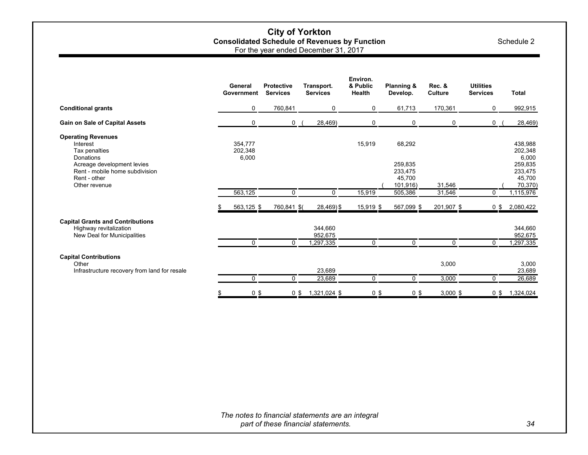#### **City of Yorkton Consolidated Schedule of Revenues by Function Schedule 2 Schedule 2 Schedule 2** For the year ended December 31, 2017

|                                                                                                                                                                      | <b>General</b><br>Government           | <b>Protective</b><br><b>Services</b> | Transport.<br><b>Services</b>  | Environ.<br>& Public<br>Health | Planning &<br>Develop.                                        | Rec. &<br><b>Culture</b> | <b>Utilities</b><br><b>Services</b> | <b>Total</b>                                                                        |
|----------------------------------------------------------------------------------------------------------------------------------------------------------------------|----------------------------------------|--------------------------------------|--------------------------------|--------------------------------|---------------------------------------------------------------|--------------------------|-------------------------------------|-------------------------------------------------------------------------------------|
| <b>Conditional grants</b>                                                                                                                                            | 0                                      | 760,841                              | $\mathbf 0$                    | $\mathbf 0$                    | 61,713                                                        | 170,361                  | $\mathbf 0$                         | 992,915                                                                             |
| Gain on Sale of Capital Assets                                                                                                                                       | 0                                      | 0                                    | 28,469)                        | 0                              | 0                                                             | 0                        | 0                                   | 28,469)                                                                             |
| <b>Operating Revenues</b><br>Interest<br>Tax penalties<br>Donations<br>Acreage development levies<br>Rent - mobile home subdivision<br>Rent - other<br>Other revenue | 354,777<br>202,348<br>6,000<br>563,125 | $\Omega$                             | $\Omega$                       | 15,919<br>15,919               | 68,292<br>259,835<br>233,475<br>45,700<br>101,916)<br>505,386 | 31,546<br>31,546         | $\Omega$                            | 438,988<br>202,348<br>6,000<br>259,835<br>233,475<br>45,700<br>70,370)<br>1,115,976 |
|                                                                                                                                                                      | 563,125 \$                             | 760,841 \$                           | 28,469) \$                     | 15,919 \$                      | 567,099 \$                                                    | 201,907 \$               |                                     | 0 \$ 2,080,422                                                                      |
| <b>Capital Grants and Contributions</b><br>Highway revitalization<br>New Deal for Municipalities                                                                     | 0                                      | 0                                    | 344,660<br>952,675<br>,297,335 | $\Omega$                       | 0                                                             | 0                        | $\Omega$                            | 344,660<br>952,675<br>,297,335                                                      |
| <b>Capital Contributions</b><br>Other<br>Infrastructure recovery from land for resale                                                                                |                                        |                                      | 23,689                         |                                |                                                               | 3,000                    |                                     | 3,000<br>23,689                                                                     |
|                                                                                                                                                                      | \$<br>0<br>0 <sup>5</sup>              | $\mathbf 0$<br>0 <sup>5</sup>        | 23,689<br>1,321,024 \$         | 0<br>0 <sup>5</sup>            | 0<br>0 <sup>5</sup>                                           | 3,000<br>$3,000$ \$      | $\mathbf 0$<br>0 <sup>5</sup>       | 26,689<br>1,324,024                                                                 |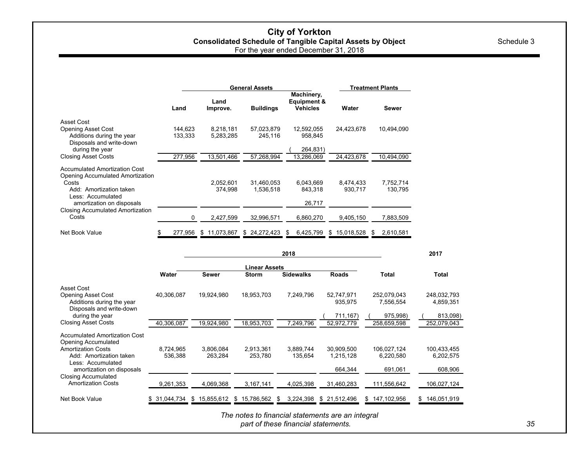#### **City of Yorkton Consolidated Schedule of Tangible Capital Assets by Object Schedule 3 Schedule 3** For the year ended December 31, 2018

|  | Schedule 3 |  |
|--|------------|--|
|--|------------|--|

|                                                                                                                                   |               | <b>General Assets</b> |                         | <b>Treatment Plants</b>                      |                      |                      |
|-----------------------------------------------------------------------------------------------------------------------------------|---------------|-----------------------|-------------------------|----------------------------------------------|----------------------|----------------------|
|                                                                                                                                   | Land          | Land<br>Improve.      | <b>Buildings</b>        | Machinery,<br>Equipment &<br><b>Vehicles</b> | Water                | Sewer                |
| Asset Cost                                                                                                                        |               |                       |                         |                                              |                      |                      |
| <b>Opening Asset Cost</b>                                                                                                         | 144,623       | 8,218,181             | 57,023,879              | 12,592,055                                   | 24,423,678           | 10,494,090           |
| Additions during the year                                                                                                         | 133,333       | 5,283,285             | 245,116                 | 958.845                                      |                      |                      |
| Disposals and write-down                                                                                                          |               |                       |                         |                                              |                      |                      |
| during the year                                                                                                                   |               |                       |                         | 264,831)                                     |                      |                      |
| <b>Closing Asset Costs</b>                                                                                                        | 277,956       | 13,501,466            | 57,268,994              | 13,286,069                                   | 24,423,678           | 10,494,090           |
| <b>Accumulated Amortization Cost</b><br>Opening Accumulated Amortization<br>Costs<br>Add: Amortization taken<br>Less: Accumulated |               | 2,052,601<br>374,998  | 31,460,053<br>1,536,518 | 6,043,669<br>843,318                         | 8.474.433<br>930.717 | 7,752,714<br>130,795 |
| amortization on disposals                                                                                                         |               |                       |                         | 26,717                                       |                      |                      |
| <b>Closing Accumulated Amortization</b><br>Costs                                                                                  | 0             | 2,427,599             | 32,996,571              | 6,860,270                                    | 9,405,150            | 7,883,509            |
| Net Book Value                                                                                                                    | \$<br>277.956 | 11,073,867<br>S.      | \$24,272,423            | 6,425,799<br>S                               | 15,018,528<br>S.     | 2,610,581            |

|                                                                                                  |            |              |                      | 2018             |                                                   |                          | 2017                     |
|--------------------------------------------------------------------------------------------------|------------|--------------|----------------------|------------------|---------------------------------------------------|--------------------------|--------------------------|
|                                                                                                  |            |              | <b>Linear Assets</b> |                  |                                                   |                          |                          |
|                                                                                                  | Water      | <b>Sewer</b> | <b>Storm</b>         | <b>Sidewalks</b> | <b>Roads</b>                                      | <b>Total</b>             | <b>Total</b>             |
| Asset Cost<br><b>Opening Asset Cost</b><br>Additions during the year<br>Disposals and write-down | 40,306,087 | 19,924,980   | 18,953,703           | 7,249,796        | 52,747,971<br>935,975                             | 252,079,043<br>7,556,554 | 248,032,793<br>4,859,351 |
| during the year                                                                                  |            |              |                      |                  | 711, 167)                                         | 975,998)                 | 813,098)                 |
| <b>Closing Asset Costs</b>                                                                       | 40,306,087 | 19,924,980   | 18,953,703           | 7,249,796        | 52,972,779                                        | 258,659,598              | 252,079,043              |
| <b>Accumulated Amortization Cost</b><br>Opening Accumulated<br><b>Amortization Costs</b>         | 8,724,965  | 3,806,084    | 2,913,361            | 3,889,744        | 30,909,500                                        | 106,027,124              | 100,433,455              |
| Add: Amortization taken<br>Less: Accumulated<br>amortization on disposals                        | 536,388    | 263,284      | 253,780              | 135.654          | 1,215,128<br>664,344                              | 6,220,580<br>691,061     | 6,202,575<br>608,906     |
| <b>Closing Accumulated</b><br><b>Amortization Costs</b>                                          | 9,261,353  | 4,069,368    | 3,167,141            | 4,025,398        | 31,460,283                                        | 111,556,642              | 106,027,124              |
| Net Book Value                                                                                   | 31,044,734 | \$15,855,612 | 15,786,562<br>\$     | 3,224,398<br>\$  | \$21,512,496                                      | 147, 102, 956<br>\$      | 146,051,919<br>\$        |
|                                                                                                  |            |              |                      |                  | The notes to financial statements are an integral |                          |                          |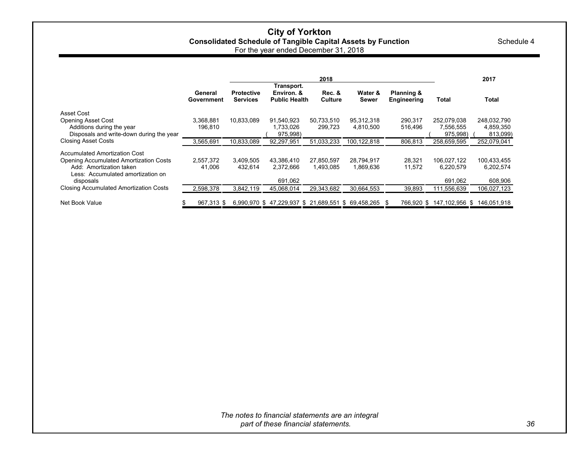#### **City of Yorkton Consolidated Schedule of Tangible Capital Assets by Function Schedule 4 Schedule 4** For the year ended December 31, 2018

|                                                                                                                                                       | 2018                  |                                      |                                                  |                         |                         |                                  |                                      | 2017                                 |  |
|-------------------------------------------------------------------------------------------------------------------------------------------------------|-----------------------|--------------------------------------|--------------------------------------------------|-------------------------|-------------------------|----------------------------------|--------------------------------------|--------------------------------------|--|
|                                                                                                                                                       | General<br>Government | <b>Protective</b><br><b>Services</b> | Transport.<br>Environ. &<br><b>Public Health</b> | Rec. &<br>Culture       | Water &<br>Sewer        | Planning &<br><b>Engineering</b> | Total                                | <b>Total</b>                         |  |
| Asset Cost<br><b>Opening Asset Cost</b><br>Additions during the year<br>Disposals and write-down during the year                                      | 3,368,881<br>196,810  | 10,833,089                           | 91,540,923<br>1,733,026<br>975,998)              | 50.733.510<br>299,723   | 95,312,318<br>4.810.500 | 290,317<br>516,496               | 252,079,038<br>7,556,555<br>975,998) | 248,032,790<br>4,859,350<br>813,099) |  |
| <b>Closing Asset Costs</b>                                                                                                                            | 3.565.691             | 10.833.089                           | 92.297.951                                       | 51.033.233              | 100,122,818             | 806.813                          | 258,659,595                          | 252,079,041                          |  |
| <b>Accumulated Amortization Cost</b><br><b>Opening Accumulated Amortization Costs</b><br>Add: Amortization taken<br>Less: Accumulated amortization on | 2,557,372<br>41.006   | 3,409,505<br>432.614                 | 43.386.410<br>2,372,666                          | 27,850,597<br>1.493.085 | 28,794,917<br>1,869,636 | 28,321<br>11.572                 | 106,027,122<br>6,220,579             | 100,433,455<br>6,202,574             |  |
| disposals<br>Closing Accumulated Amortization Costs                                                                                                   | 2.598.378             | 3,842,119                            | 691,062<br>45,068,014                            | 29.343.682              | 30,664,553              | 39,893                           | 691,062<br>111,556,639               | 608,906<br>106,027,123               |  |
| Net Book Value                                                                                                                                        | 967,313 \$<br>\$      | 6.990.970 \$                         | 47,229,937 \$ 21,689,551                         |                         | \$<br>69.458.265 \$     | 766.920 \$                       | 147,102,956 \$                       | 146,051,918                          |  |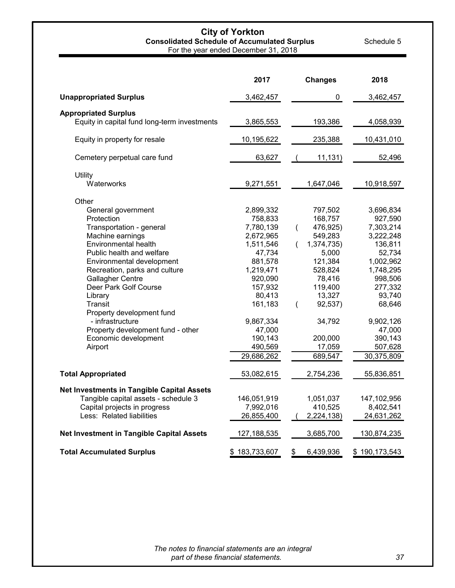| <b>City of Yorkton</b><br><b>Consolidated Schedule of Accumulated Surplus</b><br>For the year ended December 31, 2018 |               |                     |               |  |
|-----------------------------------------------------------------------------------------------------------------------|---------------|---------------------|---------------|--|
|                                                                                                                       | 2017          | <b>Changes</b>      | 2018          |  |
| <b>Unappropriated Surplus</b>                                                                                         | 3,462,457     | 0                   | 3,462,457     |  |
| <b>Appropriated Surplus</b>                                                                                           |               |                     |               |  |
| Equity in capital fund long-term investments                                                                          | 3,865,553     | 193,386             | 4,058,939     |  |
| Equity in property for resale                                                                                         | 10,195,622    | 235,388             | 10,431,010    |  |
| Cemetery perpetual care fund                                                                                          | 63,627        | 11, 131)            | 52,496        |  |
| Utility                                                                                                               |               |                     |               |  |
| Waterworks                                                                                                            | 9,271,551     | 1,647,046           | 10,918,597    |  |
| Other                                                                                                                 |               |                     |               |  |
| General government                                                                                                    | 2,899,332     | 797,502             | 3,696,834     |  |
| Protection                                                                                                            | 758,833       | 168,757             | 927,590       |  |
| Transportation - general                                                                                              | 7,780,139     | 476,925)<br>(       | 7,303,214     |  |
| Machine earnings                                                                                                      | 2,672,965     | 549,283             | 3,222,248     |  |
| Environmental health                                                                                                  | 1,511,546     | 1,374,735)          | 136,811       |  |
| Public health and welfare                                                                                             | 47,734        | 5,000               | 52,734        |  |
| Environmental development                                                                                             | 881,578       | 121,384             | 1,002,962     |  |
| Recreation, parks and culture                                                                                         | 1,219,471     | 528,824             | 1,748,295     |  |
| Gallagher Centre                                                                                                      | 920,090       | 78,416              | 998,506       |  |
| Deer Park Golf Course                                                                                                 | 157,932       | 119,400             | 277,332       |  |
| Library                                                                                                               | 80,413        | 13,327              | 93,740        |  |
| Transit                                                                                                               | 161,183       | 92,537)<br>$\left($ | 68,646        |  |
| Property development fund                                                                                             |               |                     |               |  |
| - infrastructure                                                                                                      | 9,867,334     | 34,792              | 9,902,126     |  |
| Property development fund - other                                                                                     | 47,000        |                     | 47,000        |  |
| Economic development                                                                                                  | 190,143       | 200,000             | 390,143       |  |
| Airport                                                                                                               | 490,569       | 17,059              | 507,628       |  |
|                                                                                                                       | 29,686,262    | 689,547             | 30,375,809    |  |
| <b>Total Appropriated</b>                                                                                             | 53,082,615    | 2,754,236           | 55,836,851    |  |
| <b>Net Investments in Tangible Capital Assets</b>                                                                     |               |                     |               |  |
| Tangible capital assets - schedule 3                                                                                  | 146,051,919   | 1,051,037           | 147, 102, 956 |  |
| Capital projects in progress                                                                                          | 7,992,016     | 410,525             | 8,402,541     |  |
| Less: Related liabilities                                                                                             | 26,855,400    | 2,224,138)          | 24,631,262    |  |
| <b>Net Investment in Tangible Capital Assets</b>                                                                      | 127, 188, 535 | 3,685,700           | 130,874,235   |  |
| <b>Total Accumulated Surplus</b>                                                                                      | \$183,733,607 | \$<br>6,439,936     | \$190,173,543 |  |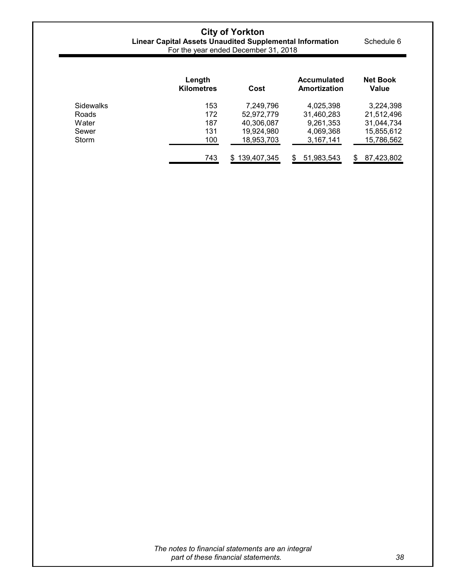#### **City of Yorkton Linear Capital Assets Unaudited Supplemental Information Schedule 6**

| For the year ended December 31, 2018 |  |
|--------------------------------------|--|

|           | Length<br><b>Kilometres</b> | Cost        | Accumulated<br>Amortization | <b>Net Book</b><br>Value |
|-----------|-----------------------------|-------------|-----------------------------|--------------------------|
| Sidewalks | 153                         | 7,249,796   | 4,025,398                   | 3,224,398                |
| Roads     | 172                         | 52,972,779  | 31,460,283                  | 21,512,496               |
| Water     | 187                         | 40,306,087  | 9,261,353                   | 31,044,734               |
| Sewer     | 131                         | 19,924,980  | 4,069,368                   | 15,855,612               |
| Storm     | 100                         | 18,953,703  | 3,167,141                   | 15,786,562               |
|           | 743                         | 139.407.345 | 51,983,543                  | 87,423,802               |